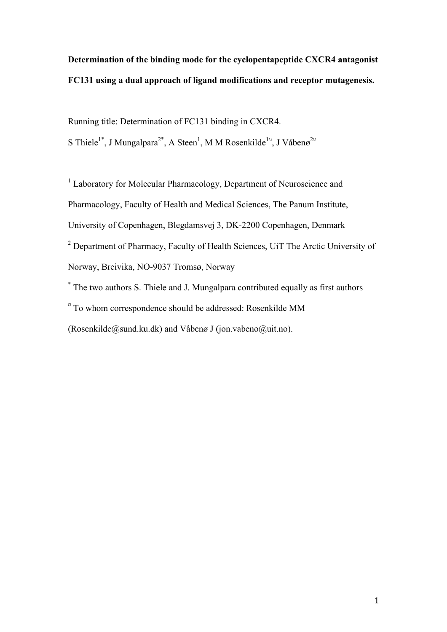# **Determination of the binding mode for the cyclopentapeptide CXCR4 antagonist FC131 using a dual approach of ligand modifications and receptor mutagenesis.**

Running title: Determination of FC131 binding in CXCR4.

S Thiele<sup>1\*</sup>, J Mungalpara<sup>2\*</sup>, A Steen<sup>1</sup>, M M Rosenkilde<sup>1¤</sup>, J Våbenø<sup>2¤</sup>

<sup>1</sup> Laboratory for Molecular Pharmacology, Department of Neuroscience and Pharmacology, Faculty of Health and Medical Sciences, The Panum Institute, University of Copenhagen, Blegdamsvej 3, DK-2200 Copenhagen, Denmark <sup>2</sup> Department of Pharmacy, Faculty of Health Sciences, UiT The Arctic University of Norway, Breivika, NO-9037 Tromsø, Norway

\* The two authors S. Thiele and J. Mungalpara contributed equally as first authors  $\alpha$  To whom correspondence should be addressed: Rosenkilde MM (Rosenkilde@sund.ku.dk) and Våbenø J (jon.vabeno@uit.no).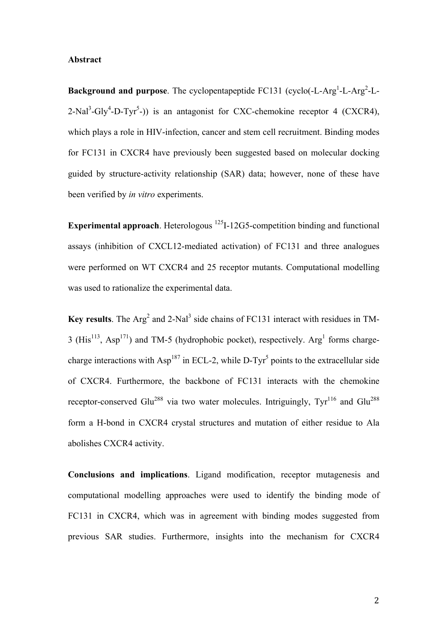#### **Abstract**

**Background and purpose**. The cyclopentapeptide FC131 (cyclo(-L-Arg<sup>1</sup>-L-Arg<sup>2</sup>-L- $2-Nal^3-Gly^4-D-Tyr^5$ -)) is an antagonist for CXC-chemokine receptor 4 (CXCR4), which plays a role in HIV-infection, cancer and stem cell recruitment. Binding modes for FC131 in CXCR4 have previously been suggested based on molecular docking guided by structure-activity relationship (SAR) data; however, none of these have been verified by *in vitro* experiments.

**Experimental approach**. Heterologous <sup>125</sup>I-12G5-competition binding and functional assays (inhibition of CXCL12-mediated activation) of FC131 and three analogues were performed on WT CXCR4 and 25 receptor mutants. Computational modelling was used to rationalize the experimental data.

**Key results**. The Arg<sup>2</sup> and 2-Nal<sup>3</sup> side chains of FC131 interact with residues in TM-3 ( $His<sup>113</sup>$ , Asp<sup>171</sup>) and TM-5 (hydrophobic pocket), respectively. Arg<sup>1</sup> forms chargecharge interactions with Asp<sup>187</sup> in ECL-2, while D-Tyr<sup>5</sup> points to the extracellular side of CXCR4. Furthermore, the backbone of FC131 interacts with the chemokine receptor-conserved Glu<sup>288</sup> via two water molecules. Intriguingly,  $\text{Tyr}^{116}$  and Glu<sup>288</sup> form a H-bond in CXCR4 crystal structures and mutation of either residue to Ala abolishes CXCR4 activity.

**Conclusions and implications**. Ligand modification, receptor mutagenesis and computational modelling approaches were used to identify the binding mode of FC131 in CXCR4, which was in agreement with binding modes suggested from previous SAR studies. Furthermore, insights into the mechanism for CXCR4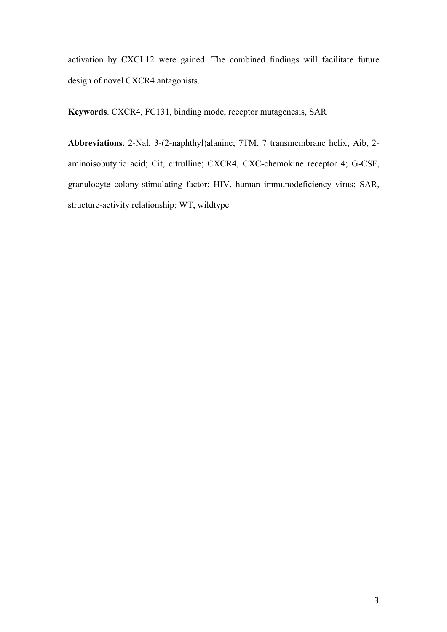activation by CXCL12 were gained. The combined findings will facilitate future design of novel CXCR4 antagonists.

**Keywords**. CXCR4, FC131, binding mode, receptor mutagenesis, SAR

**Abbreviations.** 2-Nal, 3-(2-naphthyl)alanine; 7TM, 7 transmembrane helix; Aib, 2 aminoisobutyric acid; Cit, citrulline; CXCR4, CXC-chemokine receptor 4; G-CSF, granulocyte colony-stimulating factor; HIV, human immunodeficiency virus; SAR, structure-activity relationship; WT, wildtype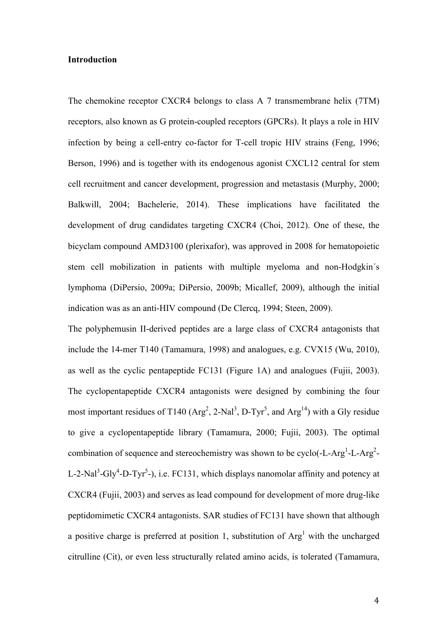#### **Introduction**

The chemokine receptor CXCR4 belongs to class A 7 transmembrane helix (7TM) receptors, also known as G protein-coupled receptors (GPCRs). It plays a role in HIV infection by being a cell-entry co-factor for T-cell tropic HIV strains (Feng, 1996; Berson, 1996) and is together with its endogenous agonist CXCL12 central for stem cell recruitment and cancer development, progression and metastasis (Murphy, 2000; Balkwill, 2004; Bachelerie, 2014). These implications have facilitated the development of drug candidates targeting CXCR4 (Choi, 2012). One of these, the bicyclam compound AMD3100 (plerixafor), was approved in 2008 for hematopoietic stem cell mobilization in patients with multiple myeloma and non-Hodgkin´s lymphoma (DiPersio, 2009a; DiPersio, 2009b; Micallef, 2009), although the initial indication was as an anti-HIV compound (De Clercq, 1994; Steen, 2009).

The polyphemusin II-derived peptides are a large class of CXCR4 antagonists that include the 14-mer T140 (Tamamura, 1998) and analogues, e.g. CVX15 (Wu, 2010), as well as the cyclic pentapeptide FC131 (Figure 1A) and analogues (Fujii, 2003). The cyclopentapeptide CXCR4 antagonists were designed by combining the four most important residues of T140  $(Arg^2, 2-Nal^3, D-Tyr^5,$  and  $Arg^{14}$ ) with a Gly residue to give a cyclopentapeptide library (Tamamura, 2000; Fujii, 2003). The optimal combination of sequence and stereochemistry was shown to be cyclo(-L-Arg<sup>1</sup>-L-Arg<sup>2</sup>-L-2-Nal<sup>3</sup>-Gly<sup>4</sup>-D-Tyr<sup>5</sup>-), i.e. FC131, which displays nanomolar affinity and potency at CXCR4 (Fujii, 2003) and serves as lead compound for development of more drug-like peptidomimetic CXCR4 antagonists. SAR studies of FC131 have shown that although a positive charge is preferred at position 1, substitution of  $Arg<sup>1</sup>$  with the uncharged citrulline (Cit), or even less structurally related amino acids, is tolerated (Tamamura,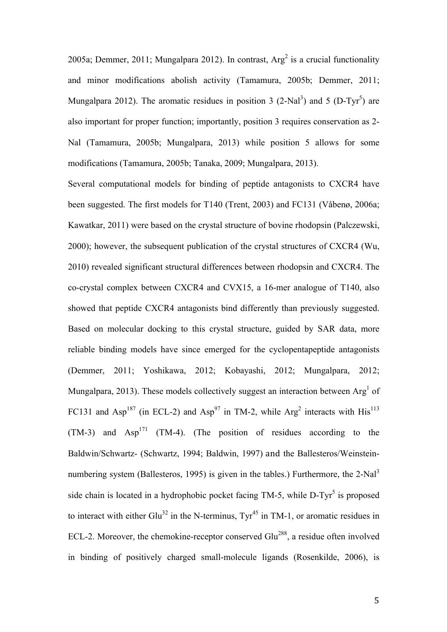2005a; Demmer, 2011; Mungalpara 2012). In contrast,  $Arg<sup>2</sup>$  is a crucial functionality and minor modifications abolish activity (Tamamura, 2005b; Demmer, 2011; Mungalpara 2012). The aromatic residues in position 3 (2-Nal<sup>3</sup>) and 5 (D-Tyr<sup>5</sup>) are also important for proper function; importantly, position 3 requires conservation as 2- Nal (Tamamura, 2005b; Mungalpara, 2013) while position 5 allows for some modifications (Tamamura, 2005b; Tanaka, 2009; Mungalpara, 2013).

Several computational models for binding of peptide antagonists to CXCR4 have been suggested. The first models for T140 (Trent, 2003) and FC131 (Våbenø, 2006a; Kawatkar, 2011) were based on the crystal structure of bovine rhodopsin (Palczewski, 2000); however, the subsequent publication of the crystal structures of CXCR4 (Wu, 2010) revealed significant structural differences between rhodopsin and CXCR4. The co-crystal complex between CXCR4 and CVX15, a 16-mer analogue of T140, also showed that peptide CXCR4 antagonists bind differently than previously suggested. Based on molecular docking to this crystal structure, guided by SAR data, more reliable binding models have since emerged for the cyclopentapeptide antagonists (Demmer, 2011; Yoshikawa, 2012; Kobayashi, 2012; Mungalpara, 2012; Mungalpara, 2013). These models collectively suggest an interaction between  $Arg<sup>1</sup>$  of FC131 and Asp<sup>187</sup> (in ECL-2) and Asp<sup>97</sup> in TM-2, while Arg<sup>2</sup> interacts with His<sup>113</sup>  $(TM-3)$  and  $Asp<sup>171</sup>$  (TM-4). (The position of residues according to the Baldwin/Schwartz- (Schwartz, 1994; Baldwin, 1997) and the Ballesteros/Weinsteinnumbering system (Ballesteros, 1995) is given in the tables.) Furthermore, the 2-Nal<sup>3</sup> side chain is located in a hydrophobic pocket facing  $TM-5$ , while  $D-Tyr^5$  is proposed to interact with either Glu<sup>32</sup> in the N-terminus,  $Tvr^{45}$  in TM-1, or aromatic residues in ECL-2. Moreover, the chemokine-receptor conserved Glu<sup>288</sup>, a residue often involved in binding of positively charged small-molecule ligands (Rosenkilde, 2006), is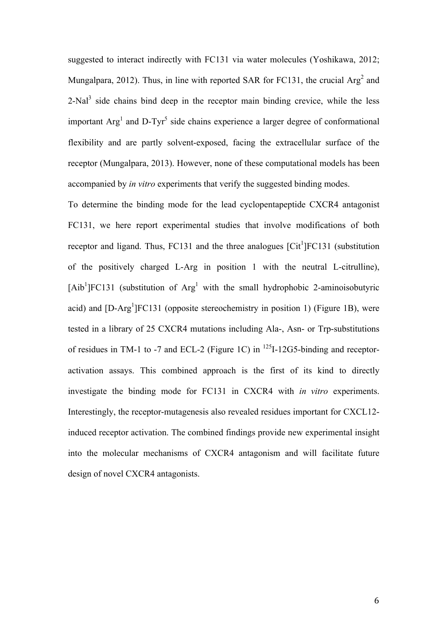suggested to interact indirectly with FC131 via water molecules (Yoshikawa, 2012; Mungalpara, 2012). Thus, in line with reported SAR for FC131, the crucial  $Arg<sup>2</sup>$  and 2-Nal<sup>3</sup> side chains bind deep in the receptor main binding crevice, while the less important  $Arg<sup>1</sup>$  and D-Tyr<sup>5</sup> side chains experience a larger degree of conformational flexibility and are partly solvent-exposed, facing the extracellular surface of the receptor (Mungalpara, 2013). However, none of these computational models has been accompanied by *in vitro* experiments that verify the suggested binding modes.

To determine the binding mode for the lead cyclopentapeptide CXCR4 antagonist FC131, we here report experimental studies that involve modifications of both receptor and ligand. Thus,  $FC131$  and the three analogues  $[Cit^1]FC131$  (substitution of the positively charged L-Arg in position 1 with the neutral L-citrulline),  $[Ab<sup>1</sup>]FC131$  (substitution of Arg<sup>1</sup> with the small hydrophobic 2-aminoisobutyric acid) and [D-Arg<sup>1</sup>]FC131 (opposite stereochemistry in position 1) (Figure 1B), were tested in a library of 25 CXCR4 mutations including Ala-, Asn- or Trp-substitutions of residues in TM-1 to -7 and ECL-2 (Figure 1C) in  $^{125}$ I-12G5-binding and receptoractivation assays. This combined approach is the first of its kind to directly investigate the binding mode for FC131 in CXCR4 with *in vitro* experiments. Interestingly, the receptor-mutagenesis also revealed residues important for CXCL12 induced receptor activation. The combined findings provide new experimental insight into the molecular mechanisms of CXCR4 antagonism and will facilitate future design of novel CXCR4 antagonists.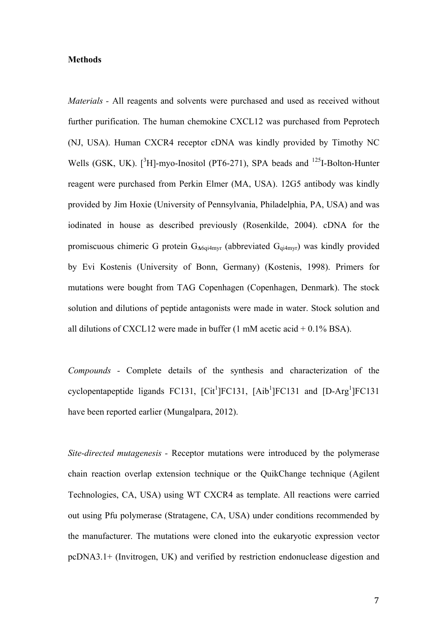#### **Methods**

*Materials -* All reagents and solvents were purchased and used as received without further purification. The human chemokine CXCL12 was purchased from Peprotech (NJ, USA). Human CXCR4 receptor cDNA was kindly provided by Timothy NC Wells (GSK, UK).  $[^{3}H]$ -myo-Inositol (PT6-271), SPA beads and  $^{125}I$ -Bolton-Hunter reagent were purchased from Perkin Elmer (MA, USA). 12G5 antibody was kindly provided by Jim Hoxie (University of Pennsylvania, Philadelphia, PA, USA) and was iodinated in house as described previously (Rosenkilde, 2004). cDNA for the promiscuous chimeric G protein G**Δ**6qi4myr (abbreviated Gqi4myr) was kindly provided by Evi Kostenis (University of Bonn, Germany) (Kostenis, 1998). Primers for mutations were bought from TAG Copenhagen (Copenhagen, Denmark). The stock solution and dilutions of peptide antagonists were made in water. Stock solution and all dilutions of CXCL12 were made in buffer  $(1 \text{ mM acetic acid} + 0.1\% \text{ BSA})$ .

*Compounds -* Complete details of the synthesis and characterization of the cyclopentapeptide ligands FC131,  $[Cit^1]FC131$ ,  $[Aib^1]FC131$  and  $[D-Arg^1]FC131$ have been reported earlier (Mungalpara, 2012).

*Site-directed mutagenesis -* Receptor mutations were introduced by the polymerase chain reaction overlap extension technique or the QuikChange technique (Agilent Technologies, CA, USA) using WT CXCR4 as template. All reactions were carried out using Pfu polymerase (Stratagene, CA, USA) under conditions recommended by the manufacturer. The mutations were cloned into the eukaryotic expression vector pcDNA3.1+ (Invitrogen, UK) and verified by restriction endonuclease digestion and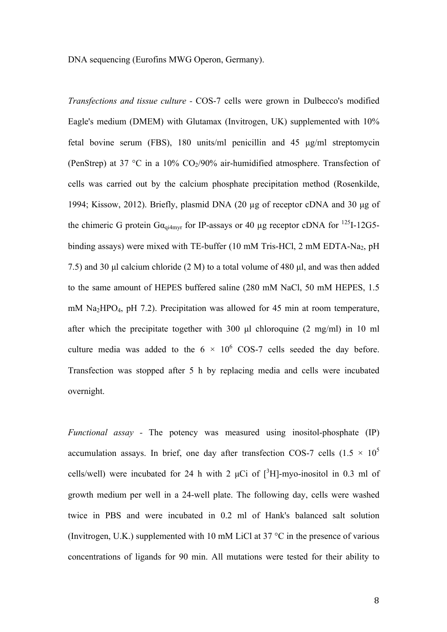DNA sequencing (Eurofins MWG Operon, Germany).

*Transfections and tissue culture -* COS-7 cells were grown in Dulbecco's modified Eagle's medium (DMEM) with Glutamax (Invitrogen, UK) supplemented with 10% fetal bovine serum (FBS), 180 units/ml penicillin and 45 µg/ml streptomycin (PenStrep) at 37 °C in a 10%  $CO<sub>2</sub>/90%$  air-humidified atmosphere. Transfection of cells was carried out by the calcium phosphate precipitation method (Rosenkilde, 1994; Kissow, 2012). Briefly, plasmid DNA (20 µg of receptor cDNA and 30 µg of the chimeric G protein  $Ga_{q_i4myr}$  for IP-assays or 40 µg receptor cDNA for <sup>125</sup>I-12G5binding assays) were mixed with TE-buffer (10 mM Tris-HCl, 2 mM EDTA-Na<sub>2</sub>, pH 7.5) and 30 µl calcium chloride (2 M) to a total volume of 480 µl, and was then added to the same amount of HEPES buffered saline (280 mM NaCl, 50 mM HEPES, 1.5 mM Na<sub>2</sub>HPO<sub>4</sub>, pH 7.2). Precipitation was allowed for 45 min at room temperature, after which the precipitate together with  $300 \text{ µl}$  chloroquine  $(2 \text{ mg/ml})$  in  $10 \text{ ml}$ culture media was added to the  $6 \times 10^6$  COS-7 cells seeded the day before. Transfection was stopped after 5 h by replacing media and cells were incubated overnight.

*Functional assay -* The potency was measured using inositol-phosphate (IP) accumulation assays. In brief, one day after transfection COS-7 cells  $(1.5 \times 10^5$ cells/well) were incubated for 24 h with 2  $\mu$ Ci of  $[^{3}H]$ -myo-inositol in 0.3 ml of growth medium per well in a 24-well plate. The following day, cells were washed twice in PBS and were incubated in 0.2 ml of Hank's balanced salt solution (Invitrogen, U.K.) supplemented with 10 mM LiCl at 37  $^{\circ}$ C in the presence of various concentrations of ligands for 90 min. All mutations were tested for their ability to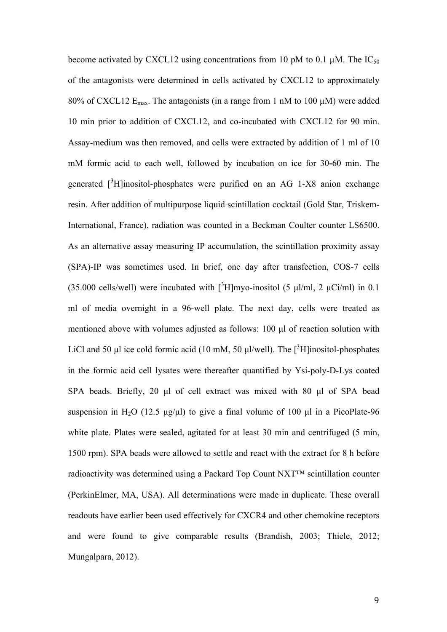become activated by CXCL12 using concentrations from 10 pM to 0.1  $\mu$ M. The IC<sub>50</sub> of the antagonists were determined in cells activated by CXCL12 to approximately 80% of CXCL12  $E_{\text{max}}$ . The antagonists (in a range from 1 nM to 100  $\mu$ M) were added 10 min prior to addition of CXCL12, and co-incubated with CXCL12 for 90 min. Assay-medium was then removed, and cells were extracted by addition of 1 ml of 10 mM formic acid to each well, followed by incubation on ice for 30**-**60 min. The generated  $[3H]$ inositol-phosphates were purified on an AG 1-X8 anion exchange resin. After addition of multipurpose liquid scintillation cocktail (Gold Star, Triskem-International, France), radiation was counted in a Beckman Coulter counter LS6500. As an alternative assay measuring IP accumulation, the scintillation proximity assay (SPA)-IP was sometimes used. In brief, one day after transfection, COS-7 cells (35.000 cells/well) were incubated with  $[3H]$ myo-inositol (5 µl/ml, 2 µCi/ml) in 0.1 ml of media overnight in a 96-well plate. The next day, cells were treated as mentioned above with volumes adjusted as follows: 100 µl of reaction solution with LiCl and 50  $\mu$ l ice cold formic acid (10 mM, 50  $\mu$ l/well). The [<sup>3</sup>H]inositol-phosphates in the formic acid cell lysates were thereafter quantified by Ysi-poly-D-Lys coated SPA beads. Briefly, 20 µl of cell extract was mixed with 80 µl of SPA bead suspension in H<sub>2</sub>O (12.5  $\mu$ g/ $\mu$ l) to give a final volume of 100  $\mu$ l in a PicoPlate-96 white plate. Plates were sealed, agitated for at least 30 min and centrifuged (5 min, 1500 rpm). SPA beads were allowed to settle and react with the extract for 8 h before radioactivity was determined using a Packard Top Count NXT™ scintillation counter (PerkinElmer, MA, USA). All determinations were made in duplicate. These overall readouts have earlier been used effectively for CXCR4 and other chemokine receptors and were found to give comparable results (Brandish, 2003; Thiele, 2012; Mungalpara, 2012).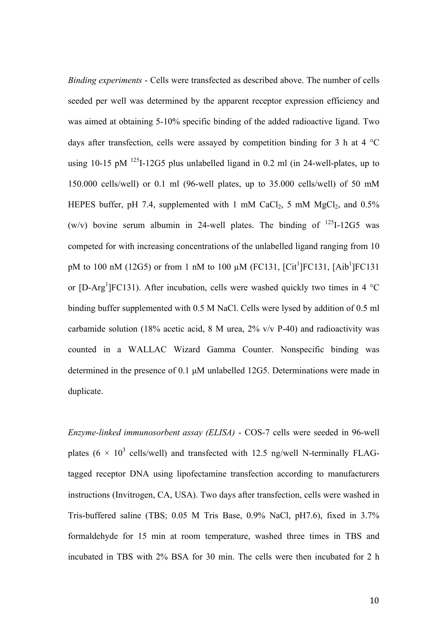*Binding experiments* - Cells were transfected as described above. The number of cells seeded per well was determined by the apparent receptor expression efficiency and was aimed at obtaining 5-10% specific binding of the added radioactive ligand. Two days after transfection, cells were assayed by competition binding for 3 h at 4 °C using 10-15 pM  $^{125}$ I-12G5 plus unlabelled ligand in 0.2 ml (in 24-well-plates, up to 150.000 cells/well) or 0.1 ml (96-well plates, up to 35.000 cells/well) of 50 mM HEPES buffer, pH 7.4, supplemented with 1 mM CaCl<sub>2</sub>, 5 mM MgCl<sub>2</sub>, and  $0.5\%$ (w/v) bovine serum albumin in 24-well plates. The binding of  $^{125}I-12G5$  was competed for with increasing concentrations of the unlabelled ligand ranging from 10 pM to 100 nM (12G5) or from 1 nM to 100  $\mu$ M (FC131, [Cit<sup>1</sup>]FC131, [Aib<sup>1</sup>]FC131 or [D-Arg<sup>1</sup>]FC131). After incubation, cells were washed quickly two times in 4  $^{\circ}$ C binding buffer supplemented with 0.5 M NaCl. Cells were lysed by addition of 0.5 ml carbamide solution (18% acetic acid, 8 M urea,  $2\%$  v/v P-40) and radioactivity was counted in a WALLAC Wizard Gamma Counter. Nonspecific binding was determined in the presence of 0.1 µM unlabelled 12G5. Determinations were made in duplicate.

*Enzyme-linked immunosorbent assay (ELISA)* - COS-7 cells were seeded in 96-well plates (6  $\times$  10<sup>3</sup> cells/well) and transfected with 12.5 ng/well N-terminally FLAGtagged receptor DNA using lipofectamine transfection according to manufacturers instructions (Invitrogen, CA, USA). Two days after transfection, cells were washed in Tris-buffered saline (TBS; 0.05 M Tris Base, 0.9% NaCl, pH7.6), fixed in 3.7% formaldehyde for 15 min at room temperature, washed three times in TBS and incubated in TBS with 2% BSA for 30 min. The cells were then incubated for 2 h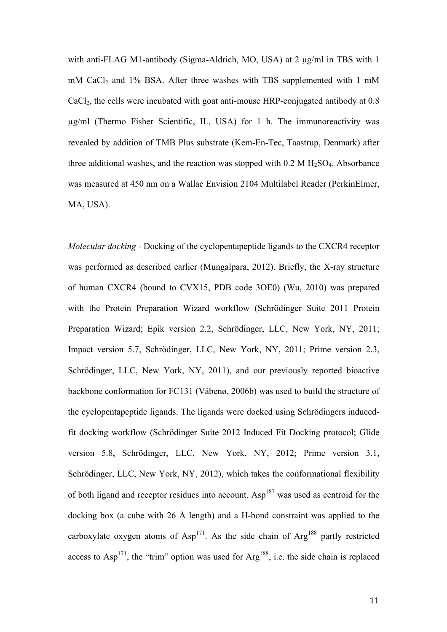with anti-FLAG M1-antibody (Sigma-Aldrich, MO, USA) at 2  $\mu$ g/ml in TBS with 1 mM CaCl<sub>2</sub> and 1% BSA. After three washes with TBS supplemented with 1 mM CaCl2, the cells were incubated with goat anti-mouse HRP-conjugated antibody at 0.8 µg/ml (Thermo Fisher Scientific, IL, USA) for 1 h. The immunoreactivity was revealed by addition of TMB Plus substrate (Kem-En-Tec, Taastrup, Denmark) after three additional washes, and the reaction was stopped with  $0.2 M H<sub>2</sub>SO<sub>4</sub>$ . Absorbance was measured at 450 nm on a Wallac Envision 2104 Multilabel Reader (PerkinElmer, MA, USA).

*Molecular docking -* Docking of the cyclopentapeptide ligands to the CXCR4 receptor was performed as described earlier (Mungalpara, 2012). Briefly, the X-ray structure of human CXCR4 (bound to CVX15, PDB code 3OE0) (Wu, 2010) was prepared with the Protein Preparation Wizard workflow (Schrödinger Suite 2011 Protein Preparation Wizard; Epik version 2.2, Schrödinger, LLC, New York, NY, 2011; Impact version 5.7, Schrödinger, LLC, New York, NY, 2011; Prime version 2.3, Schrödinger, LLC, New York, NY, 2011), and our previously reported bioactive backbone conformation for FC131 (Våbenø, 2006b) was used to build the structure of the cyclopentapeptide ligands. The ligands were docked using Schrödingers inducedfit docking workflow (Schrödinger Suite 2012 Induced Fit Docking protocol; Glide version 5.8, Schrödinger, LLC, New York, NY, 2012; Prime version 3.1, Schrödinger, LLC, New York, NY, 2012), which takes the conformational flexibility of both ligand and receptor residues into account. Asp<sup>187</sup> was used as centroid for the docking box (a cube with 26 Å length) and a H-bond constraint was applied to the carboxylate oxygen atoms of  $Asp<sup>171</sup>$ . As the side chain of  $Asp<sup>188</sup>$  partly restricted access to  $Asp<sup>171</sup>$ , the "trim" option was used for  $Arg<sup>188</sup>$ , i.e. the side chain is replaced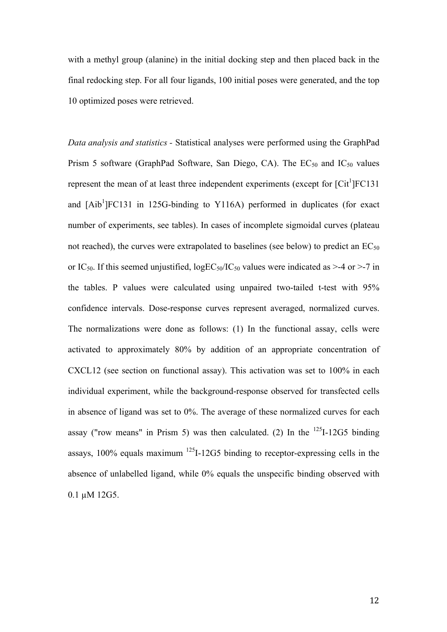with a methyl group (alanine) in the initial docking step and then placed back in the final redocking step. For all four ligands, 100 initial poses were generated, and the top 10 optimized poses were retrieved.

*Data analysis and statistics -* Statistical analyses were performed using the GraphPad Prism 5 software (GraphPad Software, San Diego, CA). The  $EC_{50}$  and  $IC_{50}$  values represent the mean of at least three independent experiments (except for  $\lbrack \text{Cit}^1 \rbrack$   $\lbrack \text{FC131} \rbrack$ and  $[Ab<sup>1</sup>]FC131$  in 125G-binding to Y116A) performed in duplicates (for exact number of experiments, see tables). In cases of incomplete sigmoidal curves (plateau not reached), the curves were extrapolated to baselines (see below) to predict an  $EC_{50}$ or IC<sub>50</sub>. If this seemed unjustified,  $logEC_{50}/IC_{50}$  values were indicated as >-4 or >-7 in the tables. P values were calculated using unpaired two-tailed t-test with 95% confidence intervals. Dose-response curves represent averaged, normalized curves. The normalizations were done as follows: (1) In the functional assay, cells were activated to approximately 80% by addition of an appropriate concentration of CXCL12 (see section on functional assay). This activation was set to 100% in each individual experiment, while the background-response observed for transfected cells in absence of ligand was set to 0%. The average of these normalized curves for each assay ("row means" in Prism 5) was then calculated. (2) In the  $^{125}I-12G5$  binding assays,  $100\%$  equals maximum  $^{125}$ I-12G5 binding to receptor-expressing cells in the absence of unlabelled ligand, while 0% equals the unspecific binding observed with 0.1 µM 12G5.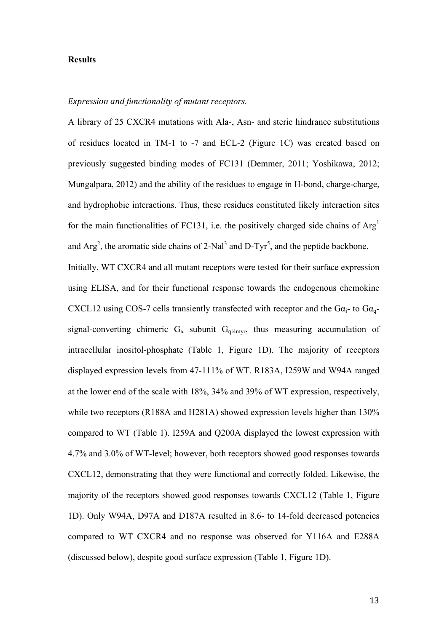### **Results**

#### *Expression and functionality of mutant receptors.*

A library of 25 CXCR4 mutations with Ala-, Asn- and steric hindrance substitutions of residues located in TM-1 to -7 and ECL-2 (Figure 1C) was created based on previously suggested binding modes of FC131 (Demmer, 2011; Yoshikawa, 2012; Mungalpara, 2012) and the ability of the residues to engage in H-bond, charge-charge, and hydrophobic interactions. Thus, these residues constituted likely interaction sites for the main functionalities of FC131, i.e. the positively charged side chains of  $Arg<sup>1</sup>$ and  $Arg<sup>2</sup>$ , the aromatic side chains of 2-Nal<sup>3</sup> and D-Tyr<sup>5</sup>, and the peptide backbone. Initially, WT CXCR4 and all mutant receptors were tested for their surface expression using ELISA, and for their functional response towards the endogenous chemokine CXCL12 using COS-7 cells transiently transfected with receptor and the  $Ga_i$ - to  $Ga_{q}$ signal-converting chimeric  $G_{\alpha}$  subunit  $G_{qi4mvr}$ , thus measuring accumulation of intracellular inositol-phosphate (Table 1, Figure 1D). The majority of receptors displayed expression levels from 47-111% of WT. R183A, I259W and W94A ranged at the lower end of the scale with 18%, 34% and 39% of WT expression, respectively, while two receptors (R188A and H281A) showed expression levels higher than 130% compared to WT (Table 1). I259A and Q200A displayed the lowest expression with 4.7% and 3.0% of WT-level; however, both receptors showed good responses towards CXCL12, demonstrating that they were functional and correctly folded. Likewise, the majority of the receptors showed good responses towards CXCL12 (Table 1, Figure 1D). Only W94A, D97A and D187A resulted in 8.6- to 14-fold decreased potencies compared to WT CXCR4 and no response was observed for Y116A and E288A (discussed below), despite good surface expression (Table 1, Figure 1D).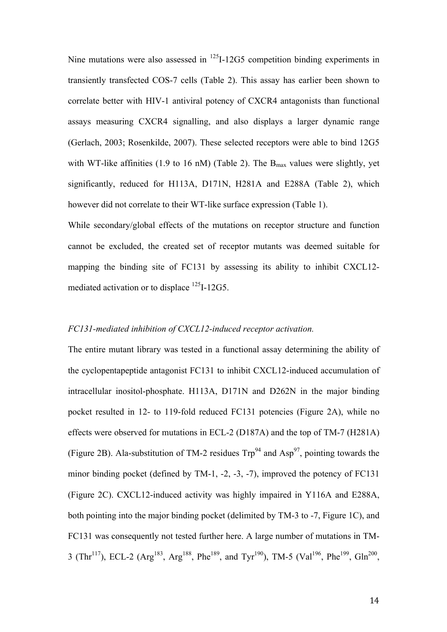Nine mutations were also assessed in <sup>125</sup>I-12G5 competition binding experiments in transiently transfected COS-7 cells (Table 2). This assay has earlier been shown to correlate better with HIV-1 antiviral potency of CXCR4 antagonists than functional assays measuring CXCR4 signalling, and also displays a larger dynamic range (Gerlach, 2003; Rosenkilde, 2007). These selected receptors were able to bind 12G5 with WT-like affinities (1.9 to 16 nM) (Table 2). The  $B_{max}$  values were slightly, yet significantly, reduced for H113A, D171N, H281A and E288A (Table 2), which however did not correlate to their WT-like surface expression (Table 1).

While secondary/global effects of the mutations on receptor structure and function cannot be excluded, the created set of receptor mutants was deemed suitable for mapping the binding site of FC131 by assessing its ability to inhibit CXCL12 mediated activation or to displace <sup>125</sup>I-12G5.

#### *FC131-mediated inhibition of CXCL12-induced receptor activation.*

The entire mutant library was tested in a functional assay determining the ability of the cyclopentapeptide antagonist FC131 to inhibit CXCL12-induced accumulation of intracellular inositol-phosphate. H113A, D171N and D262N in the major binding pocket resulted in 12- to 119-fold reduced FC131 potencies (Figure 2A), while no effects were observed for mutations in ECL-2 (D187A) and the top of TM-7 (H281A) (Figure 2B). Ala-substitution of TM-2 residues  $Trp^{94}$  and  $Asp^{97}$ , pointing towards the minor binding pocket (defined by TM-1, -2, -3, -7), improved the potency of FC131 (Figure 2C). CXCL12-induced activity was highly impaired in Y116A and E288A, both pointing into the major binding pocket (delimited by TM-3 to -7, Figure 1C), and FC131 was consequently not tested further here. A large number of mutations in TM-3 (Thr<sup>117</sup>), ECL-2 (Arg<sup>183</sup>, Arg<sup>188</sup>, Phe<sup>189</sup>, and Tyr<sup>190</sup>), TM-5 (Val<sup>196</sup>, Phe<sup>199</sup>, Gln<sup>200</sup>,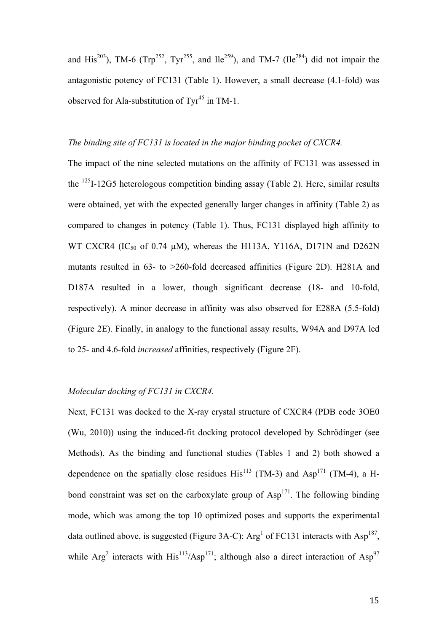and His<sup>203</sup>), TM-6 (Trp<sup>252</sup>, Tyr<sup>255</sup>, and Ile<sup>259</sup>), and TM-7 (Ile<sup>284</sup>) did not impair the antagonistic potency of FC131 (Table 1). However, a small decrease (4.1-fold) was observed for Ala-substitution of  $\text{Ty}^{45}$  in TM-1.

### *The binding site of FC131 is located in the major binding pocket of CXCR4.*

The impact of the nine selected mutations on the affinity of FC131 was assessed in the  $^{125}$ I-12G5 heterologous competition binding assay (Table 2). Here, similar results were obtained, yet with the expected generally larger changes in affinity (Table 2) as compared to changes in potency (Table 1). Thus, FC131 displayed high affinity to WT CXCR4 (IC<sub>50</sub> of 0.74  $\mu$ M), whereas the H113A, Y116A, D171N and D262N mutants resulted in 63- to >260-fold decreased affinities (Figure 2D). H281A and D187A resulted in a lower, though significant decrease (18- and 10-fold, respectively). A minor decrease in affinity was also observed for E288A (5.5-fold) (Figure 2E). Finally, in analogy to the functional assay results, W94A and D97A led to 25- and 4.6-fold *increased* affinities, respectively (Figure 2F).

# *Molecular docking of FC131 in CXCR4.*

Next, FC131 was docked to the X-ray crystal structure of CXCR4 (PDB code 3OE0 (Wu, 2010)) using the induced-fit docking protocol developed by Schrödinger (see Methods). As the binding and functional studies (Tables 1 and 2) both showed a dependence on the spatially close residues  $His^{113}$  (TM-3) and Asp<sup>171</sup> (TM-4), a Hbond constraint was set on the carboxylate group of  $\text{Asp}^{171}$ . The following binding mode, which was among the top 10 optimized poses and supports the experimental data outlined above, is suggested (Figure 3A-C):  $Arg<sup>1</sup>$  of FC131 interacts with Asp<sup>187</sup>, while Arg<sup>2</sup> interacts with His<sup>113</sup>/Asp<sup>171</sup>; although also a direct interaction of Asp<sup>97</sup>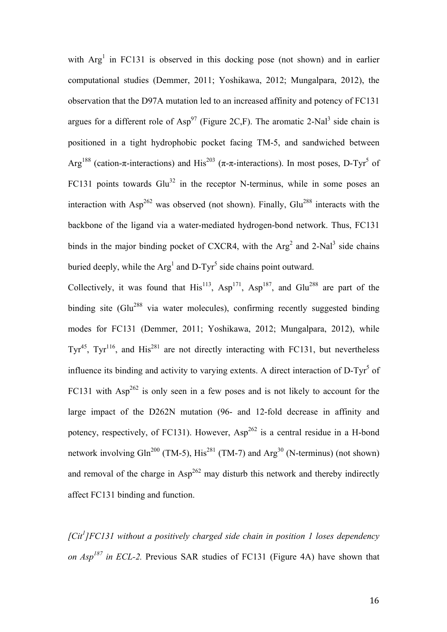with  $Arg<sup>1</sup>$  in FC131 is observed in this docking pose (not shown) and in earlier computational studies (Demmer, 2011; Yoshikawa, 2012; Mungalpara, 2012), the observation that the D97A mutation led to an increased affinity and potency of FC131 argues for a different role of  $Asp^{97}$  (Figure 2C,F). The aromatic 2-Nal<sup>3</sup> side chain is positioned in a tight hydrophobic pocket facing TM-5, and sandwiched between Arg<sup>188</sup> (cation-π-interactions) and His<sup>203</sup> (π-π-interactions). In most poses, D-Tyr<sup>5</sup> of FC131 points towards  $Glu<sup>32</sup>$  in the receptor N-terminus, while in some poses an interaction with  $\text{Asp}^{262}$  was observed (not shown). Finally, Glu<sup>288</sup> interacts with the backbone of the ligand via a water-mediated hydrogen-bond network. Thus, FC131 binds in the major binding pocket of CXCR4, with the  $Arg<sup>2</sup>$  and 2-Nal<sup>3</sup> side chains buried deeply, while the  $Arg<sup>1</sup>$  and D-Tyr<sup>5</sup> side chains point outward.

Collectively, it was found that  $His^{113}$ ,  $Asp^{171}$ ,  $Asp^{187}$ , and  $Glu^{288}$  are part of the binding site (Glu<sup>288</sup> via water molecules), confirming recently suggested binding modes for FC131 (Demmer, 2011; Yoshikawa, 2012; Mungalpara, 2012), while  $Tyr^{45}$ ,  $Tyr^{116}$ , and  $His^{281}$  are not directly interacting with FC131, but nevertheless influence its binding and activity to varying extents. A direct interaction of  $D-Tyr<sup>5</sup>$  of FC131 with  $Asp^{262}$  is only seen in a few poses and is not likely to account for the large impact of the D262N mutation (96- and 12-fold decrease in affinity and potency, respectively, of FC131). However,  $Asp^{262}$  is a central residue in a H-bond network involving Gln<sup>200</sup> (TM-5), His<sup>281</sup> (TM-7) and Arg<sup>30</sup> (N-terminus) (not shown) and removal of the charge in  $Asp^{262}$  may disturb this network and thereby indirectly affect FC131 binding and function.

*[Cit1 ]FC131 without a positively charged side chain in position 1 loses dependency on Asp187 in ECL-2.* Previous SAR studies of FC131 (Figure 4A) have shown that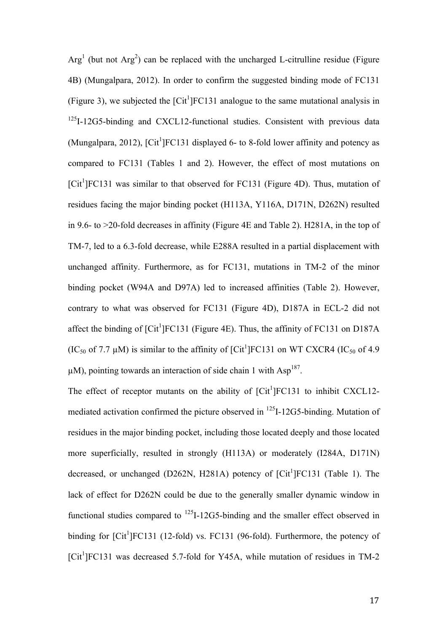$Arg<sup>1</sup>$  (but not  $Arg<sup>2</sup>$ ) can be replaced with the uncharged L-citrulline residue (Figure 4B) (Mungalpara, 2012). In order to confirm the suggested binding mode of FC131 (Figure 3), we subjected the  $\lbrack \text{Cit}^1 \rbrack \text{FC131}$  analogue to the same mutational analysis in <sup>125</sup>I-12G5-binding and CXCL12-functional studies. Consistent with previous data (Mungalpara, 2012), [Cit<sup>1</sup>]FC131 displayed 6- to 8-fold lower affinity and potency as compared to FC131 (Tables 1 and 2). However, the effect of most mutations on [Cit<sup>1</sup>]FC131 was similar to that observed for FC131 (Figure 4D). Thus, mutation of residues facing the major binding pocket (H113A, Y116A, D171N, D262N) resulted in 9.6- to >20-fold decreases in affinity (Figure 4E and Table 2). H281A, in the top of TM-7, led to a 6.3-fold decrease, while E288A resulted in a partial displacement with unchanged affinity. Furthermore, as for FC131, mutations in TM-2 of the minor binding pocket (W94A and D97A) led to increased affinities (Table 2). However, contrary to what was observed for FC131 (Figure 4D), D187A in ECL-2 did not affect the binding of  $\left[ \mathrm{Cit}^{1} \right]$ FC131 (Figure 4E). Thus, the affinity of FC131 on D187A (IC<sub>50</sub> of 7.7  $\mu$ M) is similar to the affinity of [Cit<sup>1</sup>]FC131 on WT CXCR4 (IC<sub>50</sub> of 4.9)  $\mu$ M), pointing towards an interaction of side chain 1 with Asp<sup>187</sup>.

The effect of receptor mutants on the ability of  $\lbrack \text{Cit}^1 \rbrack$   $\lbrack \text{FC131}$  to inhibit CXCL12mediated activation confirmed the picture observed in 125I-12G5-binding. Mutation of residues in the major binding pocket, including those located deeply and those located more superficially, resulted in strongly (H113A) or moderately (I284A, D171N) decreased, or unchanged (D262N, H281A) potency of  $\lbrack \text{Cit}^1 \rbrack \text{FC131}$  (Table 1). The lack of effect for D262N could be due to the generally smaller dynamic window in functional studies compared to <sup>125</sup>I-12G5-binding and the smaller effect observed in binding for  $\lbrack \text{Cit}^1 \rbrack$   $\lbrack \text{FC131} \rbrack$  (12-fold) vs. FC131 (96-fold). Furthermore, the potency of [Cit<sup>1</sup>]FC131 was decreased 5.7-fold for Y45A, while mutation of residues in TM-2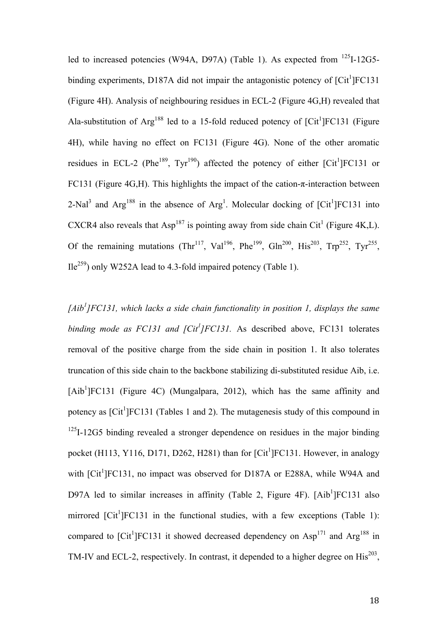led to increased potencies (W94A, D97A) (Table 1). As expected from <sup>125</sup>I-12G5binding experiments, D187A did not impair the antagonistic potency of  $\lbrack\mathrm{Cit}^1\rbrack$ FC131 (Figure 4H). Analysis of neighbouring residues in ECL-2 (Figure 4G,H) revealed that Ala-substitution of Arg<sup>188</sup> led to a 15-fold reduced potency of  $\lbrack \text{Cit}^1 \rbrack \text{FC131}$  (Figure 4H), while having no effect on FC131 (Figure 4G). None of the other aromatic residues in ECL-2 (Phe<sup>189</sup>, Tyr<sup>190</sup>) affected the potency of either [Cit<sup>1</sup>]FC131 or FC131 (Figure 4G,H). This highlights the impact of the cation- $\pi$ -interaction between 2-Nal<sup>3</sup> and Arg<sup>188</sup> in the absence of Arg<sup>1</sup>. Molecular docking of [Cit<sup>1</sup>]FC131 into CXCR4 also reveals that  $\text{Asp}^{187}$  is pointing away from side chain Cit<sup>1</sup> (Figure 4K,L). Of the remaining mutations (Thr<sup>117</sup>, Val<sup>196</sup>, Phe<sup>199</sup>, Gln<sup>200</sup>, His<sup>203</sup>, Trp<sup>252</sup>, Tyr<sup>255</sup>,  $Ile<sup>259</sup>$ ) only W252A lead to 4.3-fold impaired potency (Table 1).

*[Aib1 ]FC131, which lacks a side chain functionality in position 1, displays the same*  binding mode as FC131 and [Cit<sup>1</sup>]FC131. As described above, FC131 tolerates removal of the positive charge from the side chain in position 1. It also tolerates truncation of this side chain to the backbone stabilizing di-substituted residue Aib, i.e. [Aib<sup>1</sup>]FC131 (Figure 4C) (Mungalpara, 2012), which has the same affinity and potency as [Cit<sup>1</sup>]FC131 (Tables 1 and 2). The mutagenesis study of this compound in  $125$ I-12G5 binding revealed a stronger dependence on residues in the major binding pocket (H113, Y116, D171, D262, H281) than for  $\lceil \text{Cit}^1 \rceil$  FC131. However, in analogy with [Cit<sup>1</sup>]FC131, no impact was observed for D187A or E288A, while W94A and D97A led to similar increases in affinity (Table 2, Figure 4F). [Aib<sup>1</sup>]FC131 also mirrored  $\lbrack \text{Cit}^1 \rbrack$   $\text{FC131}$  in the functional studies, with a few exceptions (Table 1): compared to [Cit<sup>1</sup>]FC131 it showed decreased dependency on  $Asp<sup>171</sup>$  and  $Arg<sup>188</sup>$  in TM-IV and ECL-2, respectively. In contrast, it depended to a higher degree on  $His^{203}$ ,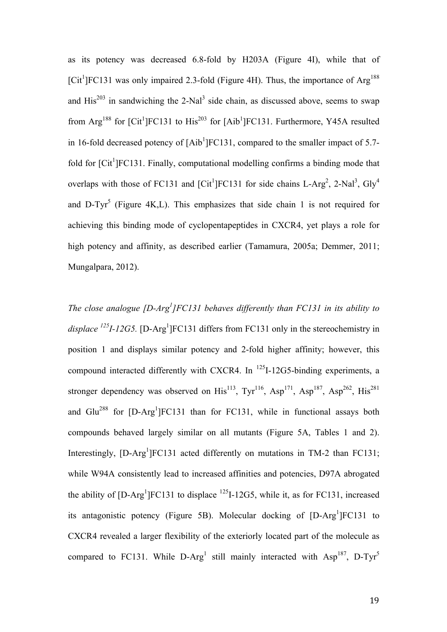as its potency was decreased 6.8-fold by H203A (Figure 4I), while that of [Cit<sup>1</sup>]FC131 was only impaired 2.3-fold (Figure 4H). Thus, the importance of Arg<sup>188</sup> and  $His^{203}$  in sandwiching the 2-Nal<sup>3</sup> side chain, as discussed above, seems to swap from  $\text{Arg}^{188}$  for [Cit<sup>1</sup>]FC131 to His<sup>203</sup> for [Aib<sup>1</sup>]FC131. Furthermore, Y45A resulted in 16-fold decreased potency of  $[Ab^1]FC131$ , compared to the smaller impact of 5.7fold for [Cit<sup>1</sup>]FC131. Finally, computational modelling confirms a binding mode that overlaps with those of FC131 and  $\left[\text{Cit}^1\right]$ FC131 for side chains L-Arg<sup>2</sup>, 2-Nal<sup>3</sup>, Gly<sup>4</sup> and D-Tyr<sup>5</sup> (Figure 4K, L). This emphasizes that side chain 1 is not required for achieving this binding mode of cyclopentapeptides in CXCR4, yet plays a role for high potency and affinity, as described earlier (Tamamura, 2005a; Demmer, 2011; Mungalpara, 2012).

*The close analogue [D-Arg<sup>1</sup>]FC131 behaves differently than FC131 in its ability to* displace <sup>125</sup>I-12G5. [D-Arg<sup>1</sup>]FC131 differs from FC131 only in the stereochemistry in position 1 and displays similar potency and 2-fold higher affinity; however, this compound interacted differently with CXCR4. In  $^{125}$ I-12G5-binding experiments, a stronger dependency was observed on  $His^{113}$ ,  $Tyr^{116}$ ,  $Asp^{171}$ ,  $Asp^{187}$ ,  $Asp^{262}$ ,  $His^{281}$ and Glu<sup>288</sup> for  $[D-Arg<sup>1</sup>]FC131$  than for FC131, while in functional assays both compounds behaved largely similar on all mutants (Figure 5A, Tables 1 and 2). Interestingly,  $[D-Arg<sup>1</sup>]FC131$  acted differently on mutations in TM-2 than FC131; while W94A consistently lead to increased affinities and potencies, D97A abrogated the ability of  $[D-Arg^1]FC131$  to displace  $^{125}I-12G5$ , while it, as for FC131, increased its antagonistic potency (Figure 5B). Molecular docking of [D-Arg<sup>1</sup>]FC131 to CXCR4 revealed a larger flexibility of the exteriorly located part of the molecule as compared to FC131. While D-Arg<sup>1</sup> still mainly interacted with Asp<sup>187</sup>, D-Tyr<sup>5</sup>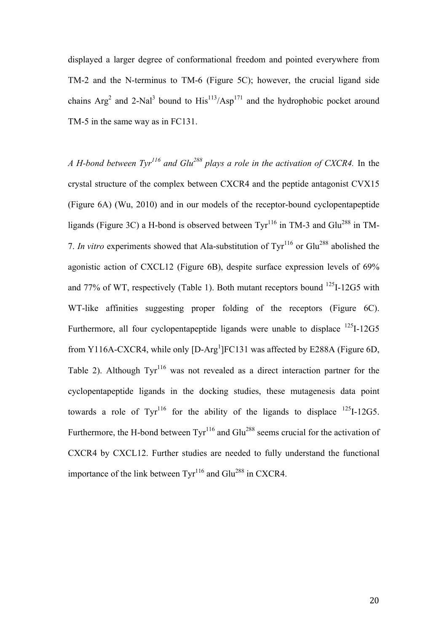displayed a larger degree of conformational freedom and pointed everywhere from TM-2 and the N-terminus to TM-6 (Figure 5C); however, the crucial ligand side chains  $Arg<sup>2</sup>$  and 2-Nal<sup>3</sup> bound to  $His<sup>113</sup>/Asp<sup>171</sup>$  and the hydrophobic pocket around TM-5 in the same way as in FC131.

*A H-bond between Tyr116 and Glu288 plays a role in the activation of CXCR4.* In the crystal structure of the complex between CXCR4 and the peptide antagonist CVX15 (Figure 6A) (Wu, 2010) and in our models of the receptor-bound cyclopentapeptide ligands (Figure 3C) a H-bond is observed between  $\text{Ty}^{116}$  in TM-3 and Glu<sup>288</sup> in TM-7. *In vitro* experiments showed that Ala-substitution of Tyr<sup>116</sup> or Glu<sup>288</sup> abolished the agonistic action of CXCL12 (Figure 6B), despite surface expression levels of 69% and 77% of WT, respectively (Table 1). Both mutant receptors bound  $^{125}I-12G5$  with WT-like affinities suggesting proper folding of the receptors (Figure 6C). Furthermore, all four cyclopentapeptide ligands were unable to displace <sup>125</sup>I-12G5 from Y116A-CXCR4, while only  $[D-Arg<sup>1</sup>]FC131$  was affected by E288A (Figure 6D, Table 2). Although  $Tyr^{116}$  was not revealed as a direct interaction partner for the cyclopentapeptide ligands in the docking studies, these mutagenesis data point towards a role of  $Tyr^{116}$  for the ability of the ligands to displace  $125I-12G5$ . Furthermore, the H-bond between  $\text{Ty}^{116}$  and  $\text{Glu}^{288}$  seems crucial for the activation of CXCR4 by CXCL12. Further studies are needed to fully understand the functional importance of the link between  $\text{Tur}^{116}$  and Glu<sup>288</sup> in CXCR4.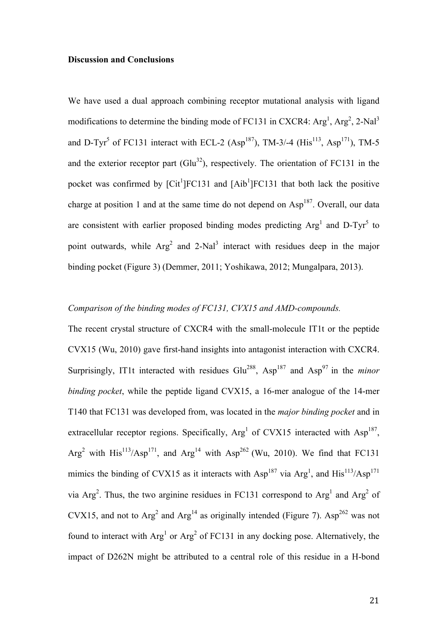### **Discussion and Conclusions**

We have used a dual approach combining receptor mutational analysis with ligand modifications to determine the binding mode of FC131 in CXCR4:  $Arg<sup>1</sup>$ ,  $Arg<sup>2</sup>$ ,  $2-Nal<sup>3</sup>$ and D-Tyr<sup>5</sup> of FC131 interact with ECL-2 (Asp<sup>187</sup>), TM-3/-4 (His<sup>113</sup>, Asp<sup>171</sup>), TM-5 and the exterior receptor part  $(Glu<sup>32</sup>)$ , respectively. The orientation of FC131 in the pocket was confirmed by  $\lbrack \text{Cit}^1 \rbrack \text{FC131}$  and  $\lbrack \text{Aib}^1 \rbrack \text{FC131}$  that both lack the positive charge at position 1 and at the same time do not depend on  $Asp<sup>187</sup>$ . Overall, our data are consistent with earlier proposed binding modes predicting  $Arg<sup>1</sup>$  and D-Tyr<sup>5</sup> to point outwards, while  $Arg<sup>2</sup>$  and 2-Nal<sup>3</sup> interact with residues deep in the major binding pocket (Figure 3) (Demmer, 2011; Yoshikawa, 2012; Mungalpara, 2013).

# *Comparison of the binding modes of FC131, CVX15 and AMD-compounds.*

The recent crystal structure of CXCR4 with the small-molecule IT1t or the peptide CVX15 (Wu, 2010) gave first-hand insights into antagonist interaction with CXCR4. Surprisingly, IT1t interacted with residues Glu<sup>288</sup>, Asp<sup>187</sup> and Asp<sup>97</sup> in the *minor binding pocket*, while the peptide ligand CVX15, a 16-mer analogue of the 14-mer T140 that FC131 was developed from, was located in the *major binding pocket* and in extracellular receptor regions. Specifically, Arg<sup>1</sup> of CVX15 interacted with Asp<sup>187</sup>, Arg<sup>2</sup> with His<sup>113</sup>/Asp<sup>171</sup>, and Arg<sup>14</sup> with Asp<sup>262</sup> (Wu, 2010). We find that FC131 mimics the binding of CVX15 as it interacts with  $Asp<sup>187</sup>$  via  $Arg<sup>1</sup>$ , and  $His<sup>113</sup>/Asp<sup>171</sup>$ via Arg<sup>2</sup>. Thus, the two arginine residues in FC131 correspond to Arg<sup>1</sup> and Arg<sup>2</sup> of CVX15, and not to  $Arg<sup>2</sup>$  and  $Arg<sup>14</sup>$  as originally intended (Figure 7). Asp<sup>262</sup> was not found to interact with  $Arg<sup>1</sup>$  or  $Arg<sup>2</sup>$  of FC131 in any docking pose. Alternatively, the impact of D262N might be attributed to a central role of this residue in a H-bond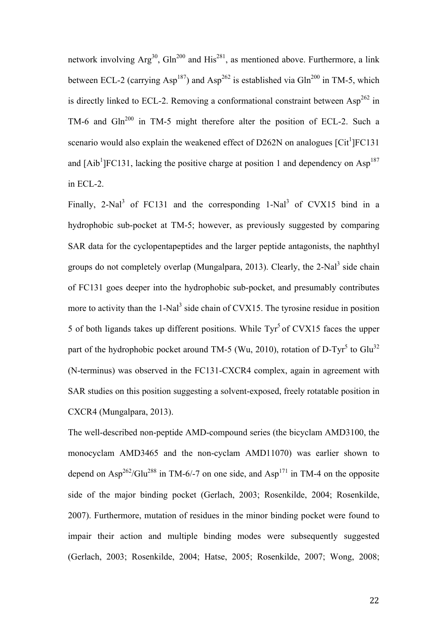network involving  $Arg^{30}$ ,  $Gln^{200}$  and  $His^{281}$ , as mentioned above. Furthermore, a link between ECL-2 (carrying Asp<sup>187</sup>) and Asp<sup>262</sup> is established via Gln<sup>200</sup> in TM-5, which is directly linked to ECL-2. Removing a conformational constraint between  $Asp^{262}$  in TM-6 and Gln<sup>200</sup> in TM-5 might therefore alter the position of ECL-2. Such a scenario would also explain the weakened effect of D262N on analogues  $\left[{\rm Ci}^{\dagger}\right]$  FC131 and  $[Aib^1]FC131$ , lacking the positive charge at position 1 and dependency on  $Asp^{187}$ in ECL-2.

Finally, 2-Nal<sup>3</sup> of FC131 and the corresponding  $1$ -Nal<sup>3</sup> of CVX15 bind in a hydrophobic sub-pocket at TM-5; however, as previously suggested by comparing SAR data for the cyclopentapeptides and the larger peptide antagonists, the naphthyl groups do not completely overlap (Mungalpara, 2013). Clearly, the  $2-Nal<sup>3</sup>$  side chain of FC131 goes deeper into the hydrophobic sub-pocket, and presumably contributes more to activity than the  $1$ -Nal<sup>3</sup> side chain of CVX15. The tyrosine residue in position 5 of both ligands takes up different positions. While  $\text{Ty}^5$  of CVX15 faces the upper part of the hydrophobic pocket around TM-5 (Wu, 2010), rotation of D-Tyr<sup>5</sup> to Glu<sup>32</sup> (N-terminus) was observed in the FC131-CXCR4 complex, again in agreement with SAR studies on this position suggesting a solvent-exposed, freely rotatable position in CXCR4 (Mungalpara, 2013).

The well-described non-peptide AMD-compound series (the bicyclam AMD3100, the monocyclam AMD3465 and the non-cyclam AMD11070) was earlier shown to depend on  $\text{Asp}^{262}/\text{Glu}^{288}$  in TM-6/-7 on one side, and  $\text{Asp}^{171}$  in TM-4 on the opposite side of the major binding pocket (Gerlach, 2003; Rosenkilde, 2004; Rosenkilde, 2007). Furthermore, mutation of residues in the minor binding pocket were found to impair their action and multiple binding modes were subsequently suggested (Gerlach, 2003; Rosenkilde, 2004; Hatse, 2005; Rosenkilde, 2007; Wong, 2008;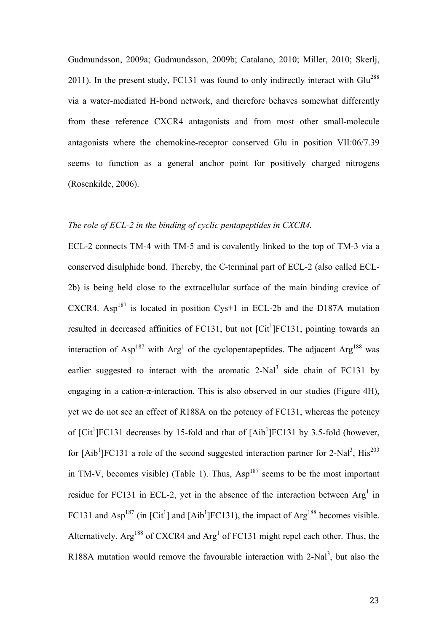Gudmundsson, 2009a; Gudmundsson, 2009b; Catalano, 2010; Miller, 2010; Skerlj, 2011). In the present study, FC131 was found to only indirectly interact with  $Glu^{288}$ via a water-mediated H-bond network, and therefore behaves somewhat differently from these reference CXCR4 antagonists and from most other small-molecule antagonists where the chemokine-receptor conserved Glu in position VII:06/7.39 seems to function as a general anchor point for positively charged nitrogens (Rosenkilde, 2006).

# *The role of ECL-2 in the binding of cyclic pentapeptides in CXCR4.*

ECL-2 connects TM-4 with TM-5 and is covalently linked to the top of TM-3 via a conserved disulphide bond. Thereby, the C-terminal part of ECL-2 (also called ECL-2b) is being held close to the extracellular surface of the main binding crevice of CXCR4. Asp<sup>187</sup> is located in position Cys+1 in ECL-2b and the D187A mutation resulted in decreased affinities of FC131, but not  $\left[ \mathrm{Cit}^{1} \right]$  FC131, pointing towards an interaction of  $Asp<sup>187</sup>$  with  $Arg<sup>1</sup>$  of the cyclopentapeptides. The adjacent  $Arg<sup>188</sup>$  was earlier suggested to interact with the aromatic  $2-Nal<sup>3</sup>$  side chain of FC131 by engaging in a cation-π-interaction. This is also observed in our studies (Figure 4H), yet we do not see an effect of R188A on the potency of FC131, whereas the potency of  $\left[$ Cit<sup>1</sup> $\right]$ FC131 decreases by 15-fold and that of  $\left[$ Aib<sup>1</sup> $\right]$ FC131 by 3.5-fold (however, for  $[Aib^1]FC131$  a role of the second suggested interaction partner for 2-Nal<sup>3</sup>, His<sup>203</sup> in TM-V, becomes visible) (Table 1). Thus,  $Asp<sup>187</sup>$  seems to be the most important residue for FC131 in ECL-2, yet in the absence of the interaction between  $Arg<sup>1</sup>$  in FC131 and Asp<sup>187</sup> (in [Cit<sup>1</sup>] and [Aib<sup>1</sup>]FC131), the impact of Arg<sup>188</sup> becomes visible. Alternatively,  $Arg^{188}$  of CXCR4 and  $Arg<sup>1</sup>$  of FC131 might repel each other. Thus, the R188A mutation would remove the favourable interaction with 2-Nal<sup>3</sup>, but also the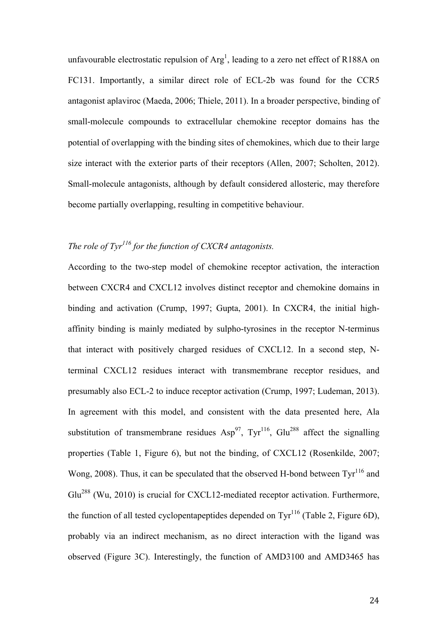unfavourable electrostatic repulsion of  $Arg<sup>1</sup>$ , leading to a zero net effect of R188A on FC131. Importantly, a similar direct role of ECL-2b was found for the CCR5 antagonist aplaviroc (Maeda, 2006; Thiele, 2011). In a broader perspective, binding of small-molecule compounds to extracellular chemokine receptor domains has the potential of overlapping with the binding sites of chemokines, which due to their large size interact with the exterior parts of their receptors (Allen, 2007; Scholten, 2012). Small-molecule antagonists, although by default considered allosteric, may therefore become partially overlapping, resulting in competitive behaviour.

# *The role of Tyr<sup>116</sup> for the function of CXCR4 antagonists.*

According to the two-step model of chemokine receptor activation, the interaction between CXCR4 and CXCL12 involves distinct receptor and chemokine domains in binding and activation (Crump, 1997; Gupta, 2001). In CXCR4, the initial highaffinity binding is mainly mediated by sulpho-tyrosines in the receptor N-terminus that interact with positively charged residues of CXCL12. In a second step, Nterminal CXCL12 residues interact with transmembrane receptor residues, and presumably also ECL-2 to induce receptor activation (Crump, 1997; Ludeman, 2013). In agreement with this model, and consistent with the data presented here, Ala substitution of transmembrane residues  $Asp^{97}$ , Tyr<sup>116</sup>, Glu<sup>288</sup> affect the signalling properties (Table 1, Figure 6), but not the binding, of CXCL12 (Rosenkilde, 2007; Wong, 2008). Thus, it can be speculated that the observed H-bond between  $\text{Tr}^{116}$  and Glu<sup>288</sup> (Wu, 2010) is crucial for CXCL12-mediated receptor activation. Furthermore, the function of all tested cyclopentapeptides depended on  $\text{Ty}^{116}$  (Table 2, Figure 6D), probably via an indirect mechanism, as no direct interaction with the ligand was observed (Figure 3C). Interestingly, the function of AMD3100 and AMD3465 has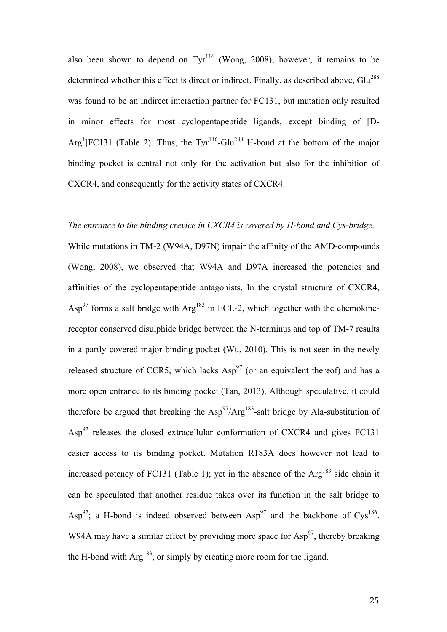also been shown to depend on  $Ty<sup>116</sup>$  (Wong, 2008); however, it remains to be determined whether this effect is direct or indirect. Finally, as described above, Glu<sup>288</sup> was found to be an indirect interaction partner for FC131, but mutation only resulted in minor effects for most cyclopentapeptide ligands, except binding of [D-Arg<sup>1</sup>]FC131 (Table 2). Thus, the Tyr<sup>116</sup>-Glu<sup>288</sup> H-bond at the bottom of the major binding pocket is central not only for the activation but also for the inhibition of CXCR4, and consequently for the activity states of CXCR4.

### *The entrance to the binding crevice in CXCR4 is covered by H-bond and Cys-bridge.*

While mutations in TM-2 (W94A, D97N) impair the affinity of the AMD-compounds (Wong, 2008), we observed that W94A and D97A increased the potencies and affinities of the cyclopentapeptide antagonists. In the crystal structure of CXCR4,  $\text{Asp}^{97}$  forms a salt bridge with  $\text{Arg}^{183}$  in ECL-2, which together with the chemokinereceptor conserved disulphide bridge between the N-terminus and top of TM-7 results in a partly covered major binding pocket (Wu, 2010). This is not seen in the newly released structure of CCR5, which lacks  $Asp^{97}$  (or an equivalent thereof) and has a more open entrance to its binding pocket (Tan, 2013). Although speculative, it could therefore be argued that breaking the  $\text{Asp}^{97}/\text{Arg}^{183}$ -salt bridge by Ala-substitution of  $\text{Asp}^{97}$  releases the closed extracellular conformation of CXCR4 and gives FC131 easier access to its binding pocket. Mutation R183A does however not lead to increased potency of FC131 (Table 1); yet in the absence of the  $Arg<sup>183</sup>$  side chain it can be speculated that another residue takes over its function in the salt bridge to Asp<sup>97</sup>; a H-bond is indeed observed between Asp<sup>97</sup> and the backbone of Cys<sup>186</sup>. W94A may have a similar effect by providing more space for  $\text{Asp}^{97}$ , thereby breaking the H-bond with  $Arg^{183}$ , or simply by creating more room for the ligand.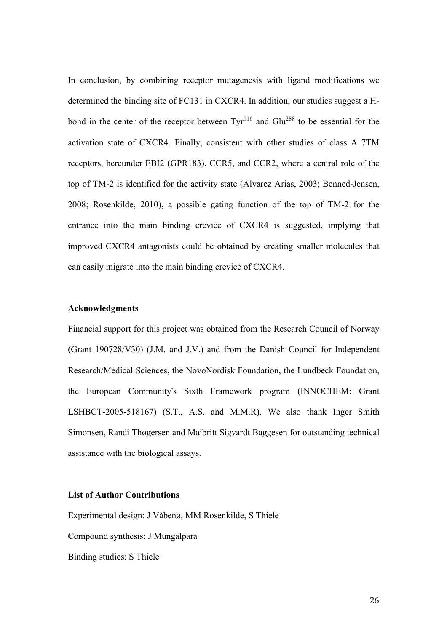In conclusion, by combining receptor mutagenesis with ligand modifications we determined the binding site of FC131 in CXCR4. In addition, our studies suggest a Hbond in the center of the receptor between  $\text{Ty}^{116}$  and  $\text{Glu}^{288}$  to be essential for the activation state of CXCR4. Finally, consistent with other studies of class A 7TM receptors, hereunder EBI2 (GPR183), CCR5, and CCR2, where a central role of the top of TM-2 is identified for the activity state (Alvarez Arias, 2003; Benned-Jensen, 2008; Rosenkilde, 2010), a possible gating function of the top of TM-2 for the entrance into the main binding crevice of CXCR4 is suggested, implying that improved CXCR4 antagonists could be obtained by creating smaller molecules that can easily migrate into the main binding crevice of CXCR4.

# **Acknowledgments**

Financial support for this project was obtained from the Research Council of Norway (Grant 190728/V30) (J.M. and J.V.) and from the Danish Council for Independent Research/Medical Sciences, the NovoNordisk Foundation, the Lundbeck Foundation, the European Community's Sixth Framework program (INNOCHEM: Grant LSHBCT-2005-518167) (S.T., A.S. and M.M.R). We also thank Inger Smith Simonsen, Randi Thøgersen and Maibritt Sigvardt Baggesen for outstanding technical assistance with the biological assays.

### **List of Author Contributions**

Experimental design: J Våbenø, MM Rosenkilde, S Thiele

Compound synthesis: J Mungalpara

Binding studies: S Thiele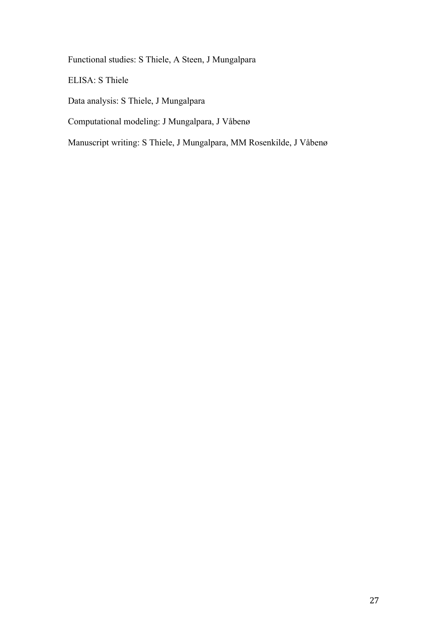Functional studies: S Thiele, A Steen, J Mungalpara

ELISA: S Thiele

Data analysis: S Thiele, J Mungalpara

Computational modeling: J Mungalpara, J Våbenø

Manuscript writing: S Thiele, J Mungalpara, MM Rosenkilde, J Våbenø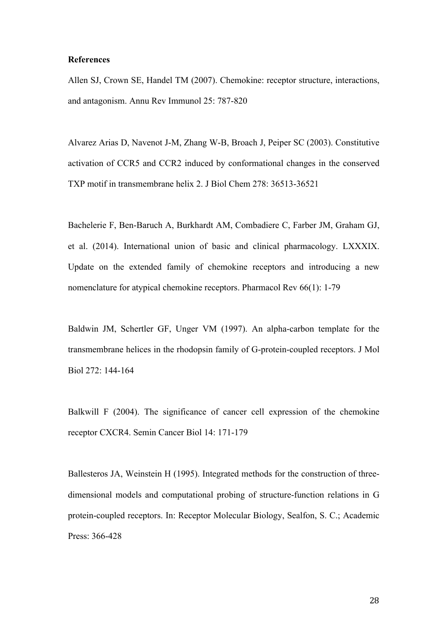#### **References**

Allen SJ, Crown SE, Handel TM (2007). Chemokine: receptor structure, interactions, and antagonism. Annu Rev Immunol 25: 787-820

Alvarez Arias D, Navenot J-M, Zhang W-B, Broach J, Peiper SC (2003). Constitutive activation of CCR5 and CCR2 induced by conformational changes in the conserved TXP motif in transmembrane helix 2. J Biol Chem 278: 36513-36521

Bachelerie F, Ben-Baruch A, Burkhardt AM, Combadiere C, Farber JM, Graham GJ, et al. (2014). International union of basic and clinical pharmacology. LXXXIX. Update on the extended family of chemokine receptors and introducing a new nomenclature for atypical chemokine receptors. Pharmacol Rev 66(1): 1-79

Baldwin JM, Schertler GF, Unger VM (1997). An alpha-carbon template for the transmembrane helices in the rhodopsin family of G-protein-coupled receptors. J Mol Biol 272: 144-164

Balkwill F (2004). The significance of cancer cell expression of the chemokine receptor CXCR4. Semin Cancer Biol 14: 171-179

Ballesteros JA, Weinstein H (1995). Integrated methods for the construction of threedimensional models and computational probing of structure-function relations in G protein-coupled receptors. In: Receptor Molecular Biology, Sealfon, S. C.; Academic Press: 366-428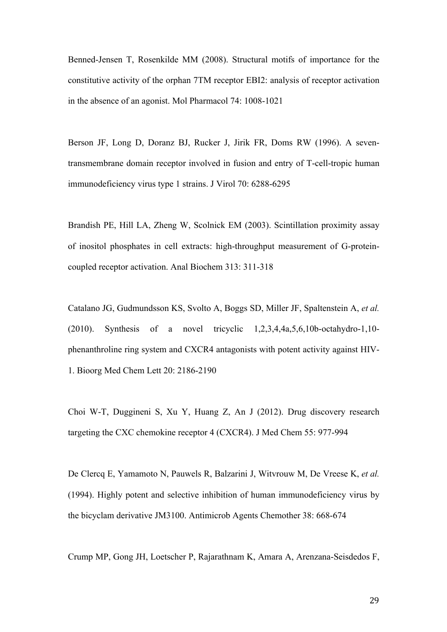Benned-Jensen T, Rosenkilde MM (2008). Structural motifs of importance for the constitutive activity of the orphan 7TM receptor EBI2: analysis of receptor activation in the absence of an agonist. Mol Pharmacol 74: 1008-1021

Berson JF, Long D, Doranz BJ, Rucker J, Jirik FR, Doms RW (1996). A seventransmembrane domain receptor involved in fusion and entry of T-cell-tropic human immunodeficiency virus type 1 strains. J Virol 70: 6288-6295

Brandish PE, Hill LA, Zheng W, Scolnick EM (2003). Scintillation proximity assay of inositol phosphates in cell extracts: high-throughput measurement of G-proteincoupled receptor activation. Anal Biochem 313: 311-318

Catalano JG, Gudmundsson KS, Svolto A, Boggs SD, Miller JF, Spaltenstein A, *et al.* (2010). Synthesis of a novel tricyclic 1,2,3,4,4a,5,6,10b-octahydro-1,10 phenanthroline ring system and CXCR4 antagonists with potent activity against HIV-1. Bioorg Med Chem Lett 20: 2186-2190

Choi W-T, Duggineni S, Xu Y, Huang Z, An J (2012). Drug discovery research targeting the CXC chemokine receptor 4 (CXCR4). J Med Chem 55: 977-994

De Clercq E, Yamamoto N, Pauwels R, Balzarini J, Witvrouw M, De Vreese K, *et al.* (1994). Highly potent and selective inhibition of human immunodeficiency virus by the bicyclam derivative JM3100. Antimicrob Agents Chemother 38: 668-674

Crump MP, Gong JH, Loetscher P, Rajarathnam K, Amara A, Arenzana-Seisdedos F,

29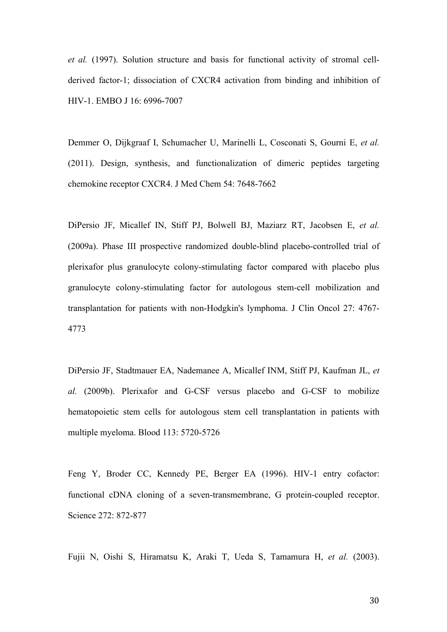*et al.* (1997). Solution structure and basis for functional activity of stromal cellderived factor-1; dissociation of CXCR4 activation from binding and inhibition of HIV-1. EMBO J 16: 6996-7007

Demmer O, Dijkgraaf I, Schumacher U, Marinelli L, Cosconati S, Gourni E, *et al.* (2011). Design, synthesis, and functionalization of dimeric peptides targeting chemokine receptor CXCR4. J Med Chem 54: 7648-7662

DiPersio JF, Micallef IN, Stiff PJ, Bolwell BJ, Maziarz RT, Jacobsen E, *et al.* (2009a). Phase III prospective randomized double-blind placebo-controlled trial of plerixafor plus granulocyte colony-stimulating factor compared with placebo plus granulocyte colony-stimulating factor for autologous stem-cell mobilization and transplantation for patients with non-Hodgkin's lymphoma. J Clin Oncol 27: 4767- 4773

DiPersio JF, Stadtmauer EA, Nademanee A, Micallef INM, Stiff PJ, Kaufman JL, *et al.* (2009b). Plerixafor and G-CSF versus placebo and G-CSF to mobilize hematopoietic stem cells for autologous stem cell transplantation in patients with multiple myeloma. Blood 113: 5720-5726

Feng Y, Broder CC, Kennedy PE, Berger EA (1996). HIV-1 entry cofactor: functional cDNA cloning of a seven-transmembrane, G protein-coupled receptor. Science 272: 872-877

Fujii N, Oishi S, Hiramatsu K, Araki T, Ueda S, Tamamura H, *et al.* (2003).

30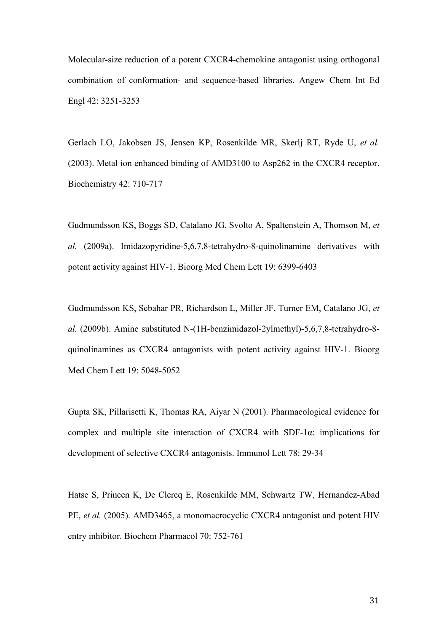Molecular-size reduction of a potent CXCR4-chemokine antagonist using orthogonal combination of conformation- and sequence-based libraries. Angew Chem Int Ed Engl 42: 3251-3253

Gerlach LO, Jakobsen JS, Jensen KP, Rosenkilde MR, Skerlj RT, Ryde U, *et al.* (2003). Metal ion enhanced binding of AMD3100 to Asp262 in the CXCR4 receptor. Biochemistry 42: 710-717

Gudmundsson KS, Boggs SD, Catalano JG, Svolto A, Spaltenstein A, Thomson M, *et al.* (2009a). Imidazopyridine-5,6,7,8-tetrahydro-8-quinolinamine derivatives with potent activity against HIV-1. Bioorg Med Chem Lett 19: 6399-6403

Gudmundsson KS, Sebahar PR, Richardson L, Miller JF, Turner EM, Catalano JG, *et al.* (2009b). Amine substituted N-(1H-benzimidazol-2ylmethyl)-5,6,7,8-tetrahydro-8 quinolinamines as CXCR4 antagonists with potent activity against HIV-1. Bioorg Med Chem Lett 19: 5048-5052

Gupta SK, Pillarisetti K, Thomas RA, Aiyar N (2001). Pharmacological evidence for complex and multiple site interaction of CXCR4 with SDF-1α: implications for development of selective CXCR4 antagonists. Immunol Lett 78: 29-34

Hatse S, Princen K, De Clercq E, Rosenkilde MM, Schwartz TW, Hernandez-Abad PE, *et al.* (2005). AMD3465, a monomacrocyclic CXCR4 antagonist and potent HIV entry inhibitor. Biochem Pharmacol 70: 752-761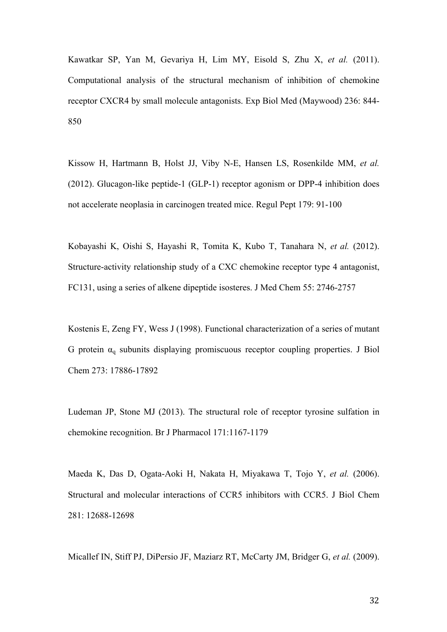Kawatkar SP, Yan M, Gevariya H, Lim MY, Eisold S, Zhu X, *et al.* (2011). Computational analysis of the structural mechanism of inhibition of chemokine receptor CXCR4 by small molecule antagonists. Exp Biol Med (Maywood) 236: 844- 850

Kissow H, Hartmann B, Holst JJ, Viby N-E, Hansen LS, Rosenkilde MM, *et al.* (2012). Glucagon-like peptide-1 (GLP-1) receptor agonism or DPP-4 inhibition does not accelerate neoplasia in carcinogen treated mice. Regul Pept 179: 91-100

Kobayashi K, Oishi S, Hayashi R, Tomita K, Kubo T, Tanahara N, *et al.* (2012). Structure-activity relationship study of a CXC chemokine receptor type 4 antagonist, FC131, using a series of alkene dipeptide isosteres. J Med Chem 55: 2746-2757

Kostenis E, Zeng FY, Wess J (1998). Functional characterization of a series of mutant G protein  $\alpha_q$  subunits displaying promiscuous receptor coupling properties. J Biol Chem 273: 17886-17892

Ludeman JP, Stone MJ (2013). The structural role of receptor tyrosine sulfation in chemokine recognition. Br J Pharmacol 171:1167-1179

Maeda K, Das D, Ogata-Aoki H, Nakata H, Miyakawa T, Tojo Y, *et al.* (2006). Structural and molecular interactions of CCR5 inhibitors with CCR5. J Biol Chem 281: 12688-12698

Micallef IN, Stiff PJ, DiPersio JF, Maziarz RT, McCarty JM, Bridger G, *et al.* (2009).

32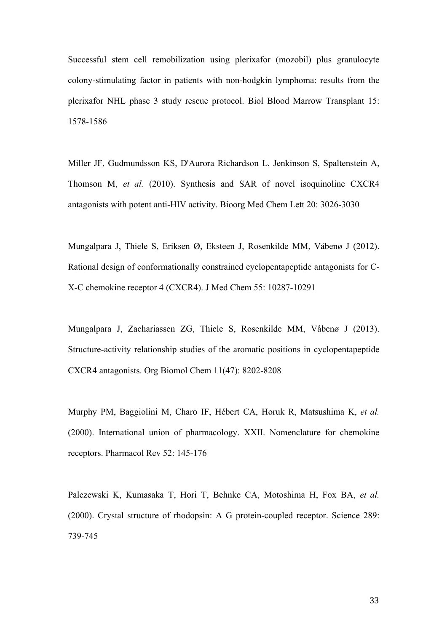Successful stem cell remobilization using plerixafor (mozobil) plus granulocyte colony-stimulating factor in patients with non-hodgkin lymphoma: results from the plerixafor NHL phase 3 study rescue protocol. Biol Blood Marrow Transplant 15: 1578-1586

Miller JF, Gudmundsson KS, D'Aurora Richardson L, Jenkinson S, Spaltenstein A, Thomson M, *et al.* (2010). Synthesis and SAR of novel isoquinoline CXCR4 antagonists with potent anti-HIV activity. Bioorg Med Chem Lett 20: 3026-3030

Mungalpara J, Thiele S, Eriksen Ø, Eksteen J, Rosenkilde MM, Våbenø J (2012). Rational design of conformationally constrained cyclopentapeptide antagonists for C-X-C chemokine receptor 4 (CXCR4). J Med Chem 55: 10287-10291

Mungalpara J, Zachariassen ZG, Thiele S, Rosenkilde MM, Våbenø J (2013). Structure-activity relationship studies of the aromatic positions in cyclopentapeptide CXCR4 antagonists. Org Biomol Chem 11(47): 8202-8208

Murphy PM, Baggiolini M, Charo IF, Hébert CA, Horuk R, Matsushima K, *et al.* (2000). International union of pharmacology. XXII. Nomenclature for chemokine receptors. Pharmacol Rev 52: 145-176

Palczewski K, Kumasaka T, Hori T, Behnke CA, Motoshima H, Fox BA, *et al.* (2000). Crystal structure of rhodopsin: A G protein-coupled receptor. Science 289: 739-745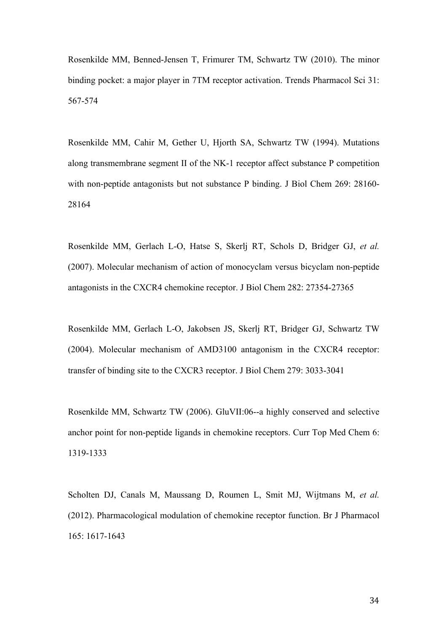Rosenkilde MM, Benned-Jensen T, Frimurer TM, Schwartz TW (2010). The minor binding pocket: a major player in 7TM receptor activation. Trends Pharmacol Sci 31: 567-574

Rosenkilde MM, Cahir M, Gether U, Hjorth SA, Schwartz TW (1994). Mutations along transmembrane segment II of the NK-1 receptor affect substance P competition with non-peptide antagonists but not substance P binding. J Biol Chem 269: 28160-28164

Rosenkilde MM, Gerlach L-O, Hatse S, Skerlj RT, Schols D, Bridger GJ, *et al.* (2007). Molecular mechanism of action of monocyclam versus bicyclam non-peptide antagonists in the CXCR4 chemokine receptor. J Biol Chem 282: 27354-27365

Rosenkilde MM, Gerlach L-O, Jakobsen JS, Skerlj RT, Bridger GJ, Schwartz TW (2004). Molecular mechanism of AMD3100 antagonism in the CXCR4 receptor: transfer of binding site to the CXCR3 receptor. J Biol Chem 279: 3033-3041

Rosenkilde MM, Schwartz TW (2006). GluVII:06--a highly conserved and selective anchor point for non-peptide ligands in chemokine receptors. Curr Top Med Chem 6: 1319-1333

Scholten DJ, Canals M, Maussang D, Roumen L, Smit MJ, Wijtmans M, *et al.* (2012). Pharmacological modulation of chemokine receptor function. Br J Pharmacol 165: 1617-1643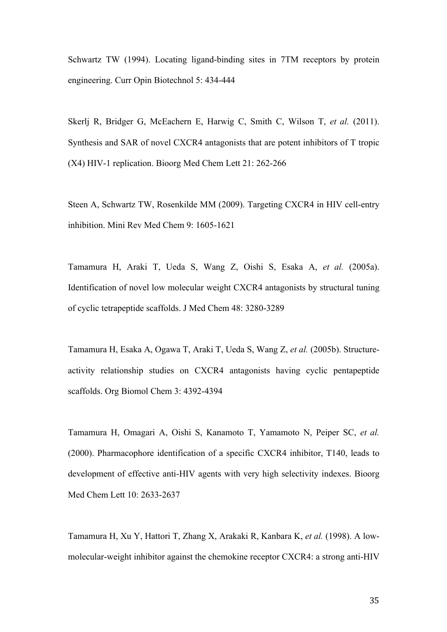Schwartz TW (1994). Locating ligand-binding sites in 7TM receptors by protein engineering. Curr Opin Biotechnol 5: 434-444

Skerlj R, Bridger G, McEachern E, Harwig C, Smith C, Wilson T, *et al.* (2011). Synthesis and SAR of novel CXCR4 antagonists that are potent inhibitors of T tropic (X4) HIV-1 replication. Bioorg Med Chem Lett 21: 262-266

Steen A, Schwartz TW, Rosenkilde MM (2009). Targeting CXCR4 in HIV cell-entry inhibition. Mini Rev Med Chem 9: 1605-1621

Tamamura H, Araki T, Ueda S, Wang Z, Oishi S, Esaka A, *et al.* (2005a). Identification of novel low molecular weight CXCR4 antagonists by structural tuning of cyclic tetrapeptide scaffolds. J Med Chem 48: 3280-3289

Tamamura H, Esaka A, Ogawa T, Araki T, Ueda S, Wang Z, *et al.* (2005b). Structureactivity relationship studies on CXCR4 antagonists having cyclic pentapeptide scaffolds. Org Biomol Chem 3: 4392-4394

Tamamura H, Omagari A, Oishi S, Kanamoto T, Yamamoto N, Peiper SC, *et al.* (2000). Pharmacophore identification of a specific CXCR4 inhibitor, T140, leads to development of effective anti-HIV agents with very high selectivity indexes. Bioorg Med Chem Lett 10: 2633-2637

Tamamura H, Xu Y, Hattori T, Zhang X, Arakaki R, Kanbara K, *et al.* (1998). A lowmolecular-weight inhibitor against the chemokine receptor CXCR4: a strong anti-HIV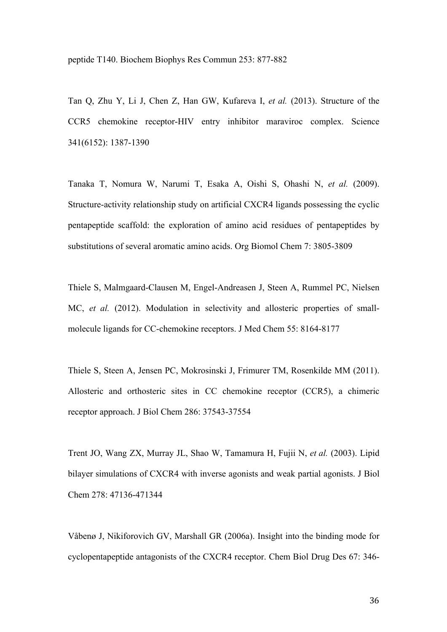peptide T140. Biochem Biophys Res Commun 253: 877-882

Tan Q, Zhu Y, Li J, Chen Z, Han GW, Kufareva I, *et al.* (2013). Structure of the CCR5 chemokine receptor-HIV entry inhibitor maraviroc complex. Science 341(6152): 1387-1390

Tanaka T, Nomura W, Narumi T, Esaka A, Oishi S, Ohashi N, *et al.* (2009). Structure-activity relationship study on artificial CXCR4 ligands possessing the cyclic pentapeptide scaffold: the exploration of amino acid residues of pentapeptides by substitutions of several aromatic amino acids. Org Biomol Chem 7: 3805-3809

Thiele S, Malmgaard-Clausen M, Engel-Andreasen J, Steen A, Rummel PC, Nielsen MC, *et al.* (2012). Modulation in selectivity and allosteric properties of smallmolecule ligands for CC-chemokine receptors. J Med Chem 55: 8164-8177

Thiele S, Steen A, Jensen PC, Mokrosinski J, Frimurer TM, Rosenkilde MM (2011). Allosteric and orthosteric sites in CC chemokine receptor (CCR5), a chimeric receptor approach. J Biol Chem 286: 37543-37554

Trent JO, Wang ZX, Murray JL, Shao W, Tamamura H, Fujii N, *et al.* (2003). Lipid bilayer simulations of CXCR4 with inverse agonists and weak partial agonists. J Biol Chem 278: 47136-471344

Våbenø J, Nikiforovich GV, Marshall GR (2006a). Insight into the binding mode for cyclopentapeptide antagonists of the CXCR4 receptor. Chem Biol Drug Des 67: 346-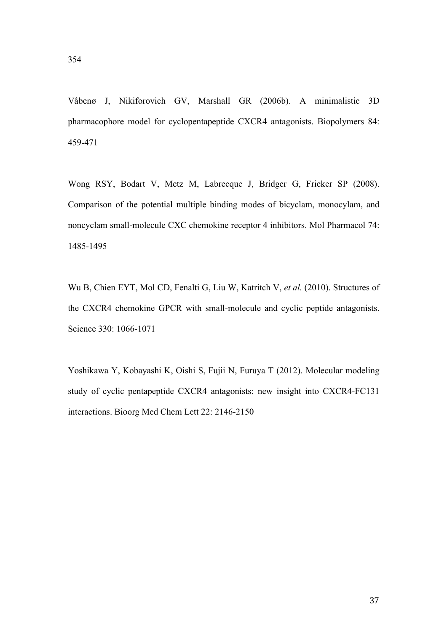Våbenø J, Nikiforovich GV, Marshall GR (2006b). A minimalistic 3D pharmacophore model for cyclopentapeptide CXCR4 antagonists. Biopolymers 84: 459-471

Wong RSY, Bodart V, Metz M, Labrecque J, Bridger G, Fricker SP (2008). Comparison of the potential multiple binding modes of bicyclam, monocylam, and noncyclam small-molecule CXC chemokine receptor 4 inhibitors. Mol Pharmacol 74: 1485-1495

Wu B, Chien EYT, Mol CD, Fenalti G, Liu W, Katritch V, *et al.* (2010). Structures of the CXCR4 chemokine GPCR with small-molecule and cyclic peptide antagonists. Science 330: 1066-1071

Yoshikawa Y, Kobayashi K, Oishi S, Fujii N, Furuya T (2012). Molecular modeling study of cyclic pentapeptide CXCR4 antagonists: new insight into CXCR4-FC131 interactions. Bioorg Med Chem Lett 22: 2146-2150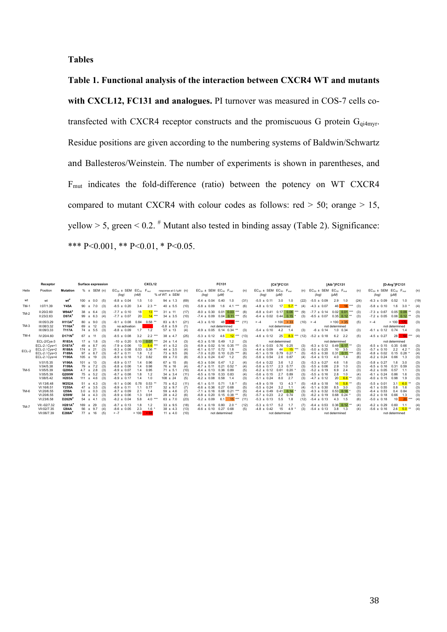**Tables**

**Table 1. Functional analysis of the interaction between CXCR4 WT and mutants with CXCL12, FC131 and analogues.** PI turnover was measured in COS-7 cells cotransfected with CXCR4 receptor constructs and the promiscuous G protein  $G_{q_i q_{mvr}}$ . Residue positions are given according to the numbering systems of Baldwin/Schwartz and Ballesteros/Weinstein. The number of experiments is shown in parentheses, and Fmut indicates the fold-difference (ratio) between the potency on WT CXCR4 compared to mutant CXCR4 with colour codes as follows: red  $>$  50; orange  $>$  15, yellow  $> 5$ , green  $< 0.2$ . <sup>#</sup> Mutant also tested in binding assay (Table 2). Significance: \*\*\* P<0.001, \*\* P<0.01, \* P<0.05.

|             | Receptor                                                                                     |                                                                            | Surface expression                                                                                                                     | CXCL12                                                                                                                                                                                                                                                                                                                                                     | FC131                                                                                                                                                                                                                                                          | $[Cit^1]$ FC131                                                                                                                                                                                                            | [Ab <sup>1</sup> ]FC131                                                                                                                                                                                                            | $[D-Arg1]FC131$                                                                                                                                                                                                             |
|-------------|----------------------------------------------------------------------------------------------|----------------------------------------------------------------------------|----------------------------------------------------------------------------------------------------------------------------------------|------------------------------------------------------------------------------------------------------------------------------------------------------------------------------------------------------------------------------------------------------------------------------------------------------------------------------------------------------------|----------------------------------------------------------------------------------------------------------------------------------------------------------------------------------------------------------------------------------------------------------------|----------------------------------------------------------------------------------------------------------------------------------------------------------------------------------------------------------------------------|------------------------------------------------------------------------------------------------------------------------------------------------------------------------------------------------------------------------------------|-----------------------------------------------------------------------------------------------------------------------------------------------------------------------------------------------------------------------------|
| Helix       | Position                                                                                     | <b>Mutation</b>                                                            | $% \pm$ SEM (n)                                                                                                                        | $EC_{50}$ ± SEM<br>$EC_{50}$ $F_{mat}$<br>response at 0.1uM (n)<br>% of WT ± SEM<br>(nM)<br>(log)                                                                                                                                                                                                                                                          | $EC_{50}$ ± SEM $EC_{50}$ $F_{mat}$<br>(n)<br>$(\mu M)$<br>(log)                                                                                                                                                                                               | $EC_{50}$ ± SEM $EC_{50}$ $F_{max}$<br>$(\mu M)$<br>(log)                                                                                                                                                                  | (n) $EC_{50}$ ± SEM $EC_{50}$ F <sub>mut</sub><br>(n)<br>$(\mu M)$<br>(log)                                                                                                                                                        | $EC_{50}$ ± SEM $EC_{50}$ $F_{mat}$<br>(n)<br>$(\mu M)$<br>(log)                                                                                                                                                            |
| wt          | wt                                                                                           | wt <sup>#</sup>                                                            | 100<br>0.0<br>(5)<br>$\pm$                                                                                                             | $-8.8 \pm 0.04$<br>$94 \pm 1.3$<br>(69)<br>1.0<br>1.5                                                                                                                                                                                                                                                                                                      | $-6.4 \pm 0.04$<br>0.40<br>1.0<br>(31)                                                                                                                                                                                                                         | $-5.5 \pm 0.11$<br>3.0<br>(22)<br>1.0                                                                                                                                                                                      | 0.09<br>2.9<br>$-5.5 \pm$<br>1.0<br>(24)                                                                                                                                                                                           | 0.52<br>$-6.3 \pm 0.09$<br>(19)<br>1.0                                                                                                                                                                                      |
| $TM-1$      | 1:07/1.39                                                                                    | <b>Y45A</b>                                                                | (3)<br>90<br>±7.0                                                                                                                      | $-8.5 \pm 0.20$<br>3.4<br>2.3<br>**<br>$40 \pm 5.5$<br>(10)                                                                                                                                                                                                                                                                                                | $-5.8 \pm 0.09$<br>(6)<br>1.6<br>4.1                                                                                                                                                                                                                           | 17<br>$5.7$ **<br>$-4.8 \pm 0.12$<br>(4)                                                                                                                                                                                   | $16$ ***<br>$-4.3 \pm 0.07$<br>46<br>(3)                                                                                                                                                                                           | $-5.8 \pm 0.10$<br>1.6<br>3.0<br>(4)                                                                                                                                                                                        |
| TM-2        | II:20/2.60<br>II:23/2.63                                                                     | W94A <sup>®</sup><br>D97A                                                  | $38 \pm 6.4$<br>(3)<br>99<br>(4)<br>± 6.3                                                                                              | 18<br>13 ***<br>$-7.7 \pm 0.10$<br>$31 \pm 11$<br>(17)<br>20 <sup>1</sup><br>$14$ ***<br>$-7.7 \pm 0.07$<br>$34 \pm 3.5$<br>(10)                                                                                                                                                                                                                           | $0.01$ 0.03<br>$-8.0 \pm 0.30$<br>***<br>$-7.4 \pm 0.09$<br>0.04<br>$0.11$ ***<br>(5)                                                                                                                                                                          | 0.06<br>$-6.8 \pm 0.41$ 0.17<br>***<br>(9)<br>$-6.4 \pm 0.02$<br>0.44<br>(3)<br>0.15                                                                                                                                       | $-7.7 \pm 0.14$ 0.02 0.01 ***<br>$-6.5 \pm 0.07$<br>$0.35$ $0.12$ **<br>(3)                                                                                                                                                        | $-7.3 \pm 0.67$<br>0.05<br>0.09<br>$^{\ast\ast}$<br>(3)<br>$-7.2 \pm 0.05$<br>0.06<br>$0.12$ **<br>(3)                                                                                                                      |
| $TM-3$      | III:05/3.29<br>III:08/3.32<br>III:09/3.33                                                    | <b>H113A</b><br>Y116A*<br><b>T117A</b>                                     | $80 \pm 9.0$<br>(3)<br>69<br>± 12<br>(3)<br>$74 \pm 5.5$<br>(3)                                                                        | $-9.1 \pm 0.08$<br>0.84<br>0.58<br>$83 \pm 8.7$<br>(21)<br>$-0.8 \pm 5.9$<br>no activation<br>(1)<br>$-8.8 \pm 0.09$<br>1.2<br>$57 \pm 13$<br>1.7<br>(4)                                                                                                                                                                                                   | $119$ ***<br>$-4.3 \pm 0.10$<br>48<br>(11)<br>not determined<br>$-6.9 \pm 0.05$ 0.14 0.34 **<br>(3)                                                                                                                                                            | > 100 > 33<br>$> -4$<br>not determined<br>$-5.4 \pm 0.10$<br>4.2<br>(3)                                                                                                                                                    | > 100 > 35<br>$(10) > -4$<br>(5)<br>not determined<br>$-6 \pm 0.14$<br>$1.0 \quad 0.34$<br>(3)                                                                                                                                     | $>100 - 170$<br>(3)<br>$> -4$<br>not determined<br>$-6.1 \pm 0.12$ 0.74<br>(3)<br>1.4                                                                                                                                       |
| $TM-4$      | IV:20/4.60                                                                                   | $D171N^*$                                                                  | 67<br>(3)<br>± 11                                                                                                                      | $-8.5 \pm 0.08$<br>2.2<br>***<br>$38 \pm 4.7$<br>3.2<br>(25)                                                                                                                                                                                                                                                                                               | $12***$<br>$-5.3 \pm 0.12$<br>4.6<br>(13)                                                                                                                                                                                                                      | $8.3$ ***<br>25<br>(12)<br>$-4.6 \pm 0.12$                                                                                                                                                                                 | (5)<br>$-5.2 \pm 0.18$<br>6.2<br>2.2                                                                                                                                                                                               | -54<br>28<br>$\left  \cdots \right $ (4)<br>$-4.5 \pm 0.27$                                                                                                                                                                 |
| $FCI -2$    | ECL-2/Cys-3<br>ECL-2 / Cvs+1<br>ECL-2 / Cys+2<br>ECL-2 / Cvs+3<br>ECL-2 / Cys+4<br>V:01/5.35 | <b>R183A</b><br>D187A<br><b>R188A</b><br>F189A<br><b>Y190A</b><br>V196A    | $17 \pm 1.8$<br>(3)<br>49<br>(4)<br>± 8.7<br>$174 \pm 21$<br>(3)<br>$97 \pm 8.7$<br>(3)<br>$105 \pm 19$<br>(3)<br>101<br>$±$ 13<br>(3) | 0.07<br>$-10 \pm 0.20$<br>0.10<br>***<br>$24 \pm 1.4$<br>(3)<br>$-7.9 \pm 0.06$<br>13<br>$8.6***$<br>$41 \pm 5.2$<br>(3)<br>$-9.3 \pm 0.08$<br>0.53<br>0.36<br>$44 \pm 3.5$<br>(4)<br>$73 \pm 9.5$<br>$-8.7 \pm 0.11$<br>1.8<br>1.2<br>(9)<br>1.2<br>0.82<br>$69 \pm 7.0$<br>$-8.9 \pm 0.18$<br>(8)<br>$-8.9 \pm 0.17$<br>0.96<br>$67 \pm 15$<br>14<br>(8) | $-6.3 \pm 0.18$<br>0.49<br>1.2<br>(3)<br>$-6.9 \pm 0.02$<br>$0.35$ ***<br>(3)<br>0.14<br>$-6.1 \pm 0.17$<br>$0.72$ 1.8<br>(3)<br>$-7.0 \pm 0.20$<br>$0.10$ $0.25$ ***<br>(6)<br>$-6.3 \pm 0.24$<br>0.47<br>1.2<br>(5)<br>$-6.3 \pm 0.04$<br>0.47<br>1.2<br>(4) | not determined<br>$-6.1 \pm 0.03$<br>0.76<br>0.25<br>(3)<br>$-4.4 \pm 0.09$<br>44<br>15 ***<br>(3)<br>$-6.1 \pm 0.19$<br>0.79<br>0.27<br>(5)<br>$-5.6 \pm 0.54$<br>2.6 0.87<br>(4)<br>$-5.4 \pm 0.22$<br>3.6<br>1.2<br>(3) | not determined<br>$-6.3 \pm 0.12$<br>$0.49$ 0.17 $**$<br>(3)<br>$-5.0 \pm 0.25$<br>10<br>3.5<br>(3)<br>$0.11$ ***<br>(6)<br>$-6.5 \pm 0.30$<br>0.31<br>$-5.4 \pm 0.13$<br>4.0<br>14<br>(6)<br>$-5.3 \pm 0.27$<br>4.6<br>1.6<br>(3) | not determined<br>$-6.5 \pm 0.15$<br>0.35 0.66<br>(3)<br>$2.2$ 4.2<br>$-5.7 \pm 0.10$<br>(3)<br>$-6.8 \pm 0.02$<br>$0.15$ $0.28$ *<br>(4)<br>$-6.2 \pm 0.24$<br>0.66<br>(3)<br>1.3<br>$-5.8 \pm 0.27$<br>1.6<br>3.0<br>(3)  |
| $TM-5$      | V:04/5.38<br>V:05/5.39<br>V:05/5.39<br>V:08/5.42                                             | F199A<br>Q200A<br>Q200W<br><b>H203A</b>                                    | 79<br>± 7.2<br>(3)<br>4.7<br>2.8<br>(3)<br>$\pm$<br>(3)<br>$75 \pm 5.2$<br>$111 \pm 4.6$<br>(3)                                        | $-8.8 \pm 0.06$<br>$76 \pm 16$<br>1.4<br>0.98<br>(4)<br>$-8.9 \pm 0.07$<br>1.4<br>0.95<br>$71 \pm 5.$<br>(10)<br>$34 \pm 3.4$<br>$-8.7 \pm 0.08$<br>1.8<br>1.2<br>(11)<br>$108 \pm 24$<br>$-8.9 \pm 0.17$<br>1.4<br>1.0<br>(5)                                                                                                                             | 0.21<br>$-6.7 \pm 0.11$<br>0.52<br>(4)<br>0.36 0.89<br>$-6.4 \pm 0.13$<br>(5)<br>$-6.5 \pm 0.19$<br>$0.33$ $0.83$<br>(4)<br>$-6.2 \pm 0.08$<br>0.58<br>14<br>(3)                                                                                               | $-5.6 \pm 0.17$<br>2.3<br>0.77<br>(3)<br>0.61<br>0.20<br>$-6.2 \pm 0.12$<br>(3)<br>$-5.6 \pm 0.15$<br>2.7<br>0.89<br>(3)<br>$-5.1 \pm 0.24$<br>8.0<br>2.7<br>(3)                                                           | $-5.5 \pm 0.06$<br>(3)<br>2.9<br>1.0<br>$-5.2 \pm 0.19$<br>6.9<br>2.4<br>(3)<br>$-5.5 \pm 0.16$<br>2.8<br>1.0<br>$20 \ 6.8$ **<br>$-4.7 \pm 0.12$<br>(3)                                                                           | (3)<br>$-6.5 \pm 0.16$<br>0.31<br>0.59<br>(3)<br>$-6.2 \pm 0.05$<br>0.57<br>1.1<br>(3)<br>0.86<br>$-6.1 \pm 0.24$<br>1.6<br>(3)<br>0.98<br>$-6.0 \pm 0.15$<br>1.9                                                           |
| $TM-6$      | VI:13/6.48<br>VI:16/6.51<br>VI:20/6.55<br>VI:20/6.55<br>VI:23/6.58                           | <b>W252A</b><br>Y255A<br><b>I259A</b><br><b>I259W</b><br>D <sub>262N</sub> | $51 \pm 4.3$<br>(3)<br>47<br>± 3.5<br>(3)<br>3.0<br>$\pm$ 0.3<br>(3)<br>4.3<br>(3)<br>34<br>$\pm$<br>(3)<br>54<br>$\pm$ 4.1            | $75 \pm 6.2$<br>$-9.1 \pm 0.06$<br>0.78<br>$0.53$ *<br>(11)<br>$-8.9 + 0.11$<br>0.77<br>$32 \pm 9.7$<br>1.1<br>(7)<br>$-8.7 \pm 0.09$<br>2.1<br>$59 \pm 4.6$<br>1.4<br>(7)<br>$-8.9 \pm 0.06$<br>1.3<br>0.91<br>$28 \pm 4.2$<br>(6)<br>$4.0$ ***<br>$-8.2 \pm 0.04$<br>5.8<br>$63 \pm 7.0$<br>(23)                                                         | $0.71$ 1.8 $*$<br>$-6.1 \pm 0.11$<br>(5)<br>0.27<br>$-6.6 \pm 0.36$<br>0.68<br>(5)<br>$-7.1 \pm 0.16$<br>$0.08$ $0.21$ ***<br>(5)<br>$-6.8 \pm 0.20$<br>$0.15$ $0.38$ **<br>(5)<br>$-5.2 \pm 0.09$<br>15 ***<br>(11)<br>6.1                                    | $-4.9 \pm 0.19$<br>13<br>4.3<br>$-5.5 + 0.24$<br>32<br>(4)<br>1.1<br>$-6.4 \pm 0.49$<br>0.41<br>0.14<br>(3)<br>$-5.7 \pm 0.23$<br>2.2<br>0.74<br>(3)<br>5.5<br>(12)<br>$-5.3 \pm 0.13$<br>1.8                              | $-4.8 \pm 0.18$<br>$16$ 5.8 $**$<br>(5)<br>$-5.1 \pm 0.30$<br>8.5<br>3.0<br>(3)<br>$-6.3 \pm 0.32$<br>0.53<br>0.18<br>(3)<br>$-6.2 \pm 0.19$<br>0.68 0.24<br>(3)<br>$-5.4 \pm 0.13$<br>4.3<br>1.5<br>(6)                           | $6.0$ **<br>3.1<br>$-5.5 \pm 0.01$<br>(3)<br>$-6.1 \pm 0.55$<br>0.8<br>1.6<br>(3)<br>$-6.4 \pm 0.53$<br>(3)<br>$0.4$ 0.84<br>0.66<br>(3)<br>$-6.2 \pm 0.18$<br>1.3<br>$20$ ***<br>(4)<br>$-5.0 \pm 0.18$<br>10 <sup>1</sup> |
| <b>TM-7</b> | VII:-02/7.32<br>VII:02/7.35<br>VII:06/7.39                                                   | $H281A^*$<br><b>I284A</b><br>E288A                                         | 169<br>± 29<br>(3)<br>56<br>$±$ 9.7<br>(4)<br>77<br>(5)<br>± 16                                                                        | $-8.7 \pm 0.13$<br>$33 \pm 9.5$<br>1.8<br>1.2<br>(18)<br>$-8.6 \pm 0.05$<br>2.3<br>1.6<br>$38 \pm 4.3$<br>(13)<br>$> -7$<br>>100<br>>68<br>$11 \pm 4.0$<br>(10)                                                                                                                                                                                            | $-6.1 \pm 0.19$<br>0.80<br>2.0<br>(12)<br>0.27<br>$-6.6 \pm 0.10$<br>0.68<br>(5)<br>not determined                                                                                                                                                             | $-5.3 \pm 0.17$<br>5.2<br>-1.7<br>(7)<br>$-4.8 \pm 0.42$<br>15<br>4.9<br>(3)<br>not determined                                                                                                                             | $0.36$ $0.12$ **<br>$-6.4 \pm 0.53$<br>(4)<br>$-5.4 \pm 0.13$<br>3.8<br>1.3<br>(4)<br>not determined                                                                                                                               | $-6.2 \pm 0.29$<br>0.60<br>(4)<br>$5.0$ **<br>2.6<br>$-5.6 \pm 0.16$<br>(4)<br>not determined                                                                                                                               |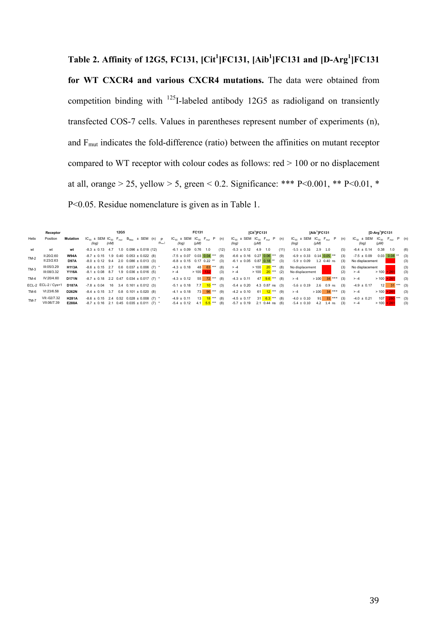**Table 2. Affinity of 12G5, FC131, [Cit<sup>1</sup> ]FC131, [Aib<sup>1</sup> ]FC131 and [D-Arg1 ]FC131 for WT CXCR4 and various CXCR4 mutations.** The data were obtained from competition binding with 125I-labeled antibody 12G5 as radioligand on transiently transfected COS-7 cells. Values in parentheses represent number of experiments (n), and Fmut indicates the fold-difference (ratio) between the affinities on mutant receptor compared to WT receptor with colour codes as follows: red > 100 or no displacement at all, orange > 25, yellow > 5, green < 0.2. Significance: \*\*\* P<0.001, \*\* P<0.01, \* P<0.05. Residue nomenclature is given as in Table 1.

|        | Receptor                    |                            |                                            | <b>12G5</b>                                                                                  | FC131                                                                                    | [Cit <sup>1</sup> ]FC131                                                         | [Aib <sup>1</sup> ]FC131                                                     | [D-Arg <sup>1</sup> ]FC131                                                           |
|--------|-----------------------------|----------------------------|--------------------------------------------|----------------------------------------------------------------------------------------------|------------------------------------------------------------------------------------------|----------------------------------------------------------------------------------|------------------------------------------------------------------------------|--------------------------------------------------------------------------------------|
| Helix  | Position                    | Mutation                   | (nM)<br>(log)                              | $IC_{50}$ ± SEM $IC_{50}$ $F_{mut}$ $B_{Max}$ ± SEM (n) $P$<br>$(B_{max})$                   | $IC_{50}$ ± SEM $IC_{50}$ $F_{mat}$ $P$ (n)<br>(μM)<br>(log)                             | $IC_{50}$ ± SEM $IC_{50}$ $F_{mut}$ $P$ (n)<br>(μM)<br>(log)                     | $IC_{50}$ ± SEM $IC_{50}$ $F_{mat}$ P<br>(n)<br>(μM)<br>(log)                | $IC_{50}$ ± SEM $IC_{50}$ F <sub>mut</sub> P (n)<br>(log)<br>(μM)                    |
| wt     | wt                          | wt                         |                                            | $-8.3 \pm 0.13$ 4.7 1.0 0.096 $\pm$ 0.018 (12)                                               | $-6.1 \pm 0.09$<br>$0.76$ 1.0<br>(12)                                                    | $-5.3 \pm 0.12$<br>4.9<br>1.0<br>(11)                                            | $-5.5 \pm 0.16$<br>$2.9$ 1.0<br>(5)                                          | 0.38<br>$-6.4 \pm 0.14$<br>(6)<br>1.0                                                |
| $TM-2$ | II:20/2.60<br>II:23/2.63    | <b>W94A</b><br><b>D97A</b> |                                            | $-8.7 \pm 0.15$ 1.9 0.40 0.053 ± 0.022 (8)<br>$-8.0 \pm 0.12$ 9.4 2.0 0.086 ± 0.013 (3)      | $0.03$ $0.04$ *** (9)<br>$-7.5 \pm 0.07$<br>$-6.8 \pm 0.15$ 0.17 0.22 **<br>(3)          | $-6.6 \pm 0.16$ 0.27 0.06 *** (9)<br>$-6.1 \pm 0.05$ 0.87 0.18 <sup>**</sup> (3) | $-6.9 \pm 0.33$ 0.14 0.05 **<br>(3)<br>$-5.9 \pm 0.09$<br>1.2 0.40 ns<br>(3) | $0.03$ $0.08$ **<br>(3)<br>$-7.5 \pm 0.09$<br>No displacement<br>(3)                 |
| $TM-3$ | III:05/3.29<br>III:08/3.32  | <b>H113A</b><br>Y116A      | $-8.6 \pm 0.15$ 2.7<br>$-8.1 \pm 0.08$ 8.7 | $0.6$ 0.037 ± 0.006 (7) *<br>$1.9$ 0.036 ± 0.016 (5)                                         | 63 ***<br>$-4.3 \pm 0.18$<br>48<br>(8)<br>(3)<br>>100<br>$> -4$                          | $20***$ (8)<br>>100<br>$> -4$<br>>100<br>$20***$ (2)<br>$> -4$                   | No displacement<br>(3)<br>No displacement<br>(2)                             | No displacement<br>(3)<br>$>100$ $>261$<br>(3)<br>$> -4$                             |
| $TM-4$ | IV:20/4.60                  | D171N                      |                                            | $-8.7 \pm 0.18$ 2.2 0.47 0.034 $\pm$ 0.017 (7) *                                             | 55 $72***$ (8)<br>$-4.3 \pm 0.12$                                                        | 47 9.6 <sup>***</sup> (8)<br>$-4.3 \pm 0.11$                                     | $>100$ 34 ***<br>(3)<br>$> -4$                                               | $> 100$ $> 261$<br>(3)<br>$> -4$                                                     |
|        | ECL-2 ECL-2 / Cys+1         | <b>D187A</b>               |                                            | $-7.8 \pm 0.04$ 16 3.4 0.161 $\pm$ 0.012 (3)                                                 | 7.7 10 <sup>***</sup> (3)<br>$-5.1 \pm 0.18$                                             | $-5.4 \pm 0.20$<br>4.3 0.87 ns (3)                                               | $2.6$ 0.9 ns<br>$-5.6 \pm 0.19$<br>(3)                                       | $12$ 31 *** (3)<br>$-4.9 \pm 0.17$                                                   |
| TM-6   | VI:23/6.58                  | <b>D262N</b>               | $-8.4 \pm 0.15$ 3.7                        | $0.8$ $0.101 \pm 0.020$ (8)                                                                  | $96***$<br>$-4.1 \pm 0.18$<br>73<br>(9)                                                  | 61 $12***$ (9)<br>$-4.2 \pm 0.10$                                                | $>100$ 34 <sup>***</sup> (3)<br>$> -4$                                       | $> 100$ $> 261$<br>(3)<br>$> -4$                                                     |
| $TM-7$ | VII:-02/7.32<br>VII:06/7.39 | <b>H281A</b><br>E288A      |                                            | $-8.6 \pm 0.15$ 2.4 0.52 0.028 ± 0.008 (7) *<br>$-8.7 \pm 0.16$ 2.1 0.45 0.035 ± 0.011 (7) * | $18***$ (8)<br>$-4.9 \pm 0.11$<br>13 <sup>1</sup><br>$-5.4 \pm 0.12$<br>4.1 $5.5***$ (8) | 31 6.3 *** (8)<br>$-4.5 \pm 0.17$<br>$2.1$ 0.44 ns (6)<br>$-5.7 \pm 0.19$        | 91 $31***$ (3)<br>$-4.0 \pm 0.10$<br>(3)<br>$-5.4 \pm 0.10$<br>4.2 1.4 ns    | $280$ <sup>***</sup> (3)<br>$-4.0 \pm 0.21$<br>107<br>> 261<br>>100<br>(3)<br>$> -4$ |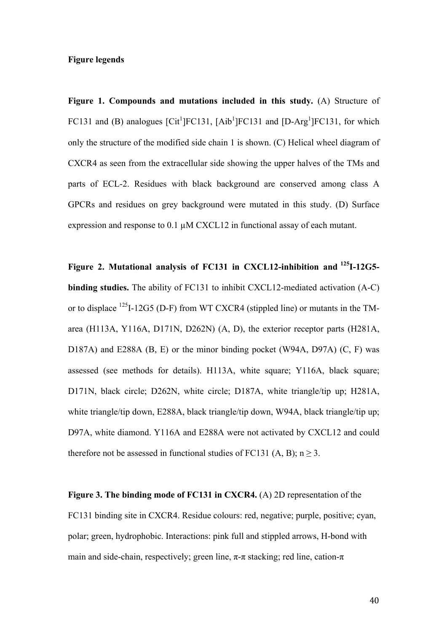#### **Figure legends**

**Figure 1. Compounds and mutations included in this study.** (A) Structure of FC131 and (B) analogues [Cit<sup>1</sup>]FC131, [Aib<sup>1</sup>]FC131 and [D-Arg<sup>1</sup>]FC131, for which only the structure of the modified side chain 1 is shown. (C) Helical wheel diagram of CXCR4 as seen from the extracellular side showing the upper halves of the TMs and parts of ECL-2. Residues with black background are conserved among class A GPCRs and residues on grey background were mutated in this study. (D) Surface expression and response to 0.1 µM CXCL12 in functional assay of each mutant.

**Figure 2. Mutational analysis of FC131 in CXCL12-inhibition and 125I-12G5 binding studies.** The ability of FC131 to inhibit CXCL12-mediated activation (A-C) or to displace  $^{125}I-12G5$  (D-F) from WT CXCR4 (stippled line) or mutants in the TMarea (H113A, Y116A, D171N, D262N) (A, D), the exterior receptor parts (H281A, D187A) and E288A (B, E) or the minor binding pocket (W94A, D97A) (C, F) was assessed (see methods for details). H113A, white square; Y116A, black square; D171N, black circle; D262N, white circle; D187A, white triangle/tip up; H281A, white triangle/tip down, E288A, black triangle/tip down, W94A, black triangle/tip up; D97A, white diamond. Y116A and E288A were not activated by CXCL12 and could therefore not be assessed in functional studies of FC131 (A, B);  $n \ge 3$ .

**Figure 3. The binding mode of FC131 in CXCR4.** (A) 2D representation of the FC131 binding site in CXCR4. Residue colours: red, negative; purple, positive; cyan, polar; green, hydrophobic. Interactions: pink full and stippled arrows, H-bond with main and side-chain, respectively; green line,  $\pi$ - $\pi$  stacking; red line, cation- $\pi$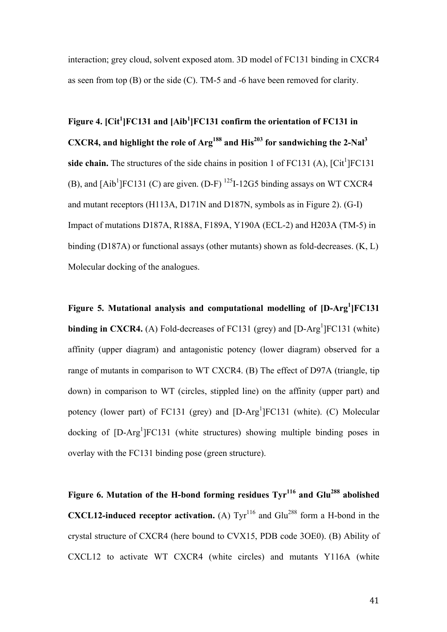interaction; grey cloud, solvent exposed atom. 3D model of FC131 binding in CXCR4 as seen from top (B) or the side (C). TM-5 and -6 have been removed for clarity.

Figure 4. [Cit<sup>1</sup>]FC131 and [Aib<sup>1</sup>]FC131 confirm the orientation of FC131 in **CXCR4, and highlight the role of Arg188 and His<sup>203</sup> for sandwiching the 2-Nal3** side chain. The structures of the side chains in position 1 of  $FC131$  (A),  $[Cit^1]FC131$ (B), and  $[Aib^1]FC131$  (C) are given. (D-F)  $^{125}I-12G5$  binding assays on WT CXCR4 and mutant receptors (H113A, D171N and D187N, symbols as in Figure 2). (G-I) Impact of mutations D187A, R188A, F189A, Y190A (ECL-2) and H203A (TM-5) in binding (D187A) or functional assays (other mutants) shown as fold-decreases. (K, L) Molecular docking of the analogues.

Figure 5. Mutational analysis and computational modelling of [D-Arg<sup>1</sup>]FC131 **binding in CXCR4.** (A) Fold-decreases of FC131 (grey) and  $[D-Arg^1]FC131$  (white) affinity (upper diagram) and antagonistic potency (lower diagram) observed for a range of mutants in comparison to WT CXCR4. (B) The effect of D97A (triangle, tip down) in comparison to WT (circles, stippled line) on the affinity (upper part) and potency (lower part) of FC131 (grey) and [D-Arg<sup>1</sup>]FC131 (white). (C) Molecular docking of [D-Arg<sup>1</sup>]FC131 (white structures) showing multiple binding poses in overlay with the FC131 binding pose (green structure).

Figure 6. Mutation of the H-bond forming residues  $Tyr^{116}$  and Glu<sup>288</sup> abolished **CXCL12-induced receptor activation.** (A)  $\text{Tyr}^{116}$  and  $\text{Glu}^{288}$  form a H-bond in the crystal structure of CXCR4 (here bound to CVX15, PDB code 3OE0). (B) Ability of CXCL12 to activate WT CXCR4 (white circles) and mutants Y116A (white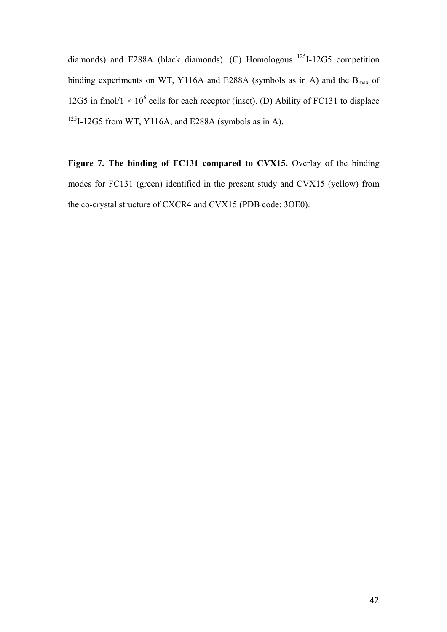diamonds) and E288A (black diamonds). (C) Homologous 125I-12G5 competition binding experiments on WT, Y116A and E288A (symbols as in A) and the  $B_{\text{max}}$  of 12G5 in fmol/1  $\times$  10<sup>6</sup> cells for each receptor (inset). (D) Ability of FC131 to displace  $125$ I-12G5 from WT, Y116A, and E288A (symbols as in A).

**Figure 7. The binding of FC131 compared to CVX15.** Overlay of the binding modes for FC131 (green) identified in the present study and CVX15 (yellow) from the co-crystal structure of CXCR4 and CVX15 (PDB code: 3OE0).